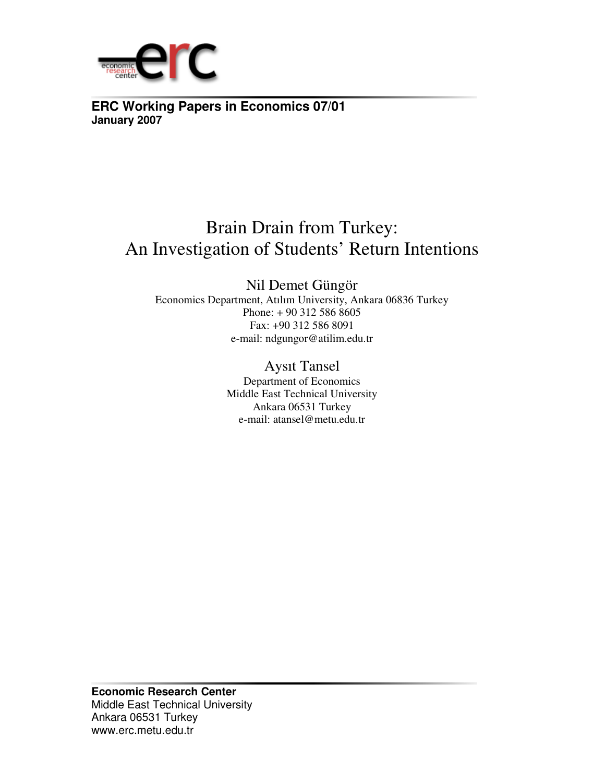

**ERC Working Papers in Economics 07/01 January 2007**

# Brain Drain from Turkey: An Investigation of Students' Return Intentions

Nil Demet Güngör Economics Department, Atılım University, Ankara 06836 Turkey Phone: + 90 312 586 8605 Fax: +90 312 586 8091 e-mail: ndgungor@atilim.edu.tr

> Aysıt Tansel Department of Economics Middle East Technical University Ankara 06531 Turkey e-mail: atansel@metu.edu.tr

**Economic Research Center**  Middle East Technical University Ankara 06531 Turkey www.erc.metu.edu.tr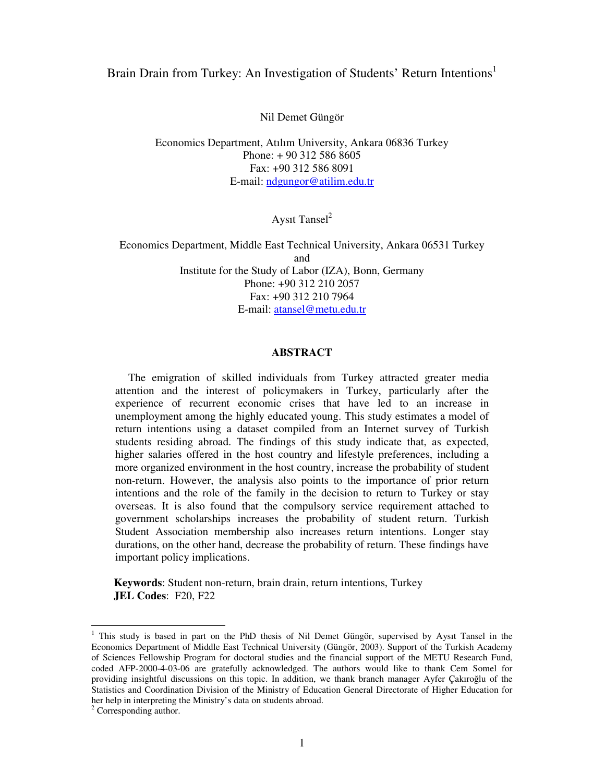# Brain Drain from Turkey: An Investigation of Students' Return Intentions<sup>1</sup>

Nil Demet Güngör

Economics Department, Atılım University, Ankara 06836 Turkey Phone: + 90 312 586 8605 Fax: +90 312 586 8091 E-mail: ndgungor@atilim.edu.tr

Aysıt Tansel $2$ 

Economics Department, Middle East Technical University, Ankara 06531 Turkey and Institute for the Study of Labor (IZA), Bonn, Germany Phone: +90 312 210 2057 Fax: +90 312 210 7964 E-mail: atansel@metu.edu.tr

#### **ABSTRACT**

The emigration of skilled individuals from Turkey attracted greater media attention and the interest of policymakers in Turkey, particularly after the experience of recurrent economic crises that have led to an increase in unemployment among the highly educated young. This study estimates a model of return intentions using a dataset compiled from an Internet survey of Turkish students residing abroad. The findings of this study indicate that, as expected, higher salaries offered in the host country and lifestyle preferences, including a more organized environment in the host country, increase the probability of student non-return. However, the analysis also points to the importance of prior return intentions and the role of the family in the decision to return to Turkey or stay overseas. It is also found that the compulsory service requirement attached to government scholarships increases the probability of student return. Turkish Student Association membership also increases return intentions. Longer stay durations, on the other hand, decrease the probability of return. These findings have important policy implications.

 **Keywords**: Student non-return, brain drain, return intentions, Turkey  **JEL Codes**: F20, F22

 $\overline{a}$ 

<sup>&</sup>lt;sup>1</sup> This study is based in part on the PhD thesis of Nil Demet Güngör, supervised by Aysıt Tansel in the Economics Department of Middle East Technical University (Güngör, 2003). Support of the Turkish Academy of Sciences Fellowship Program for doctoral studies and the financial support of the METU Research Fund, coded AFP-2000-4-03-06 are gratefully acknowledged. The authors would like to thank Cem Somel for providing insightful discussions on this topic. In addition, we thank branch manager Ayfer Çakıroğlu of the Statistics and Coordination Division of the Ministry of Education General Directorate of Higher Education for her help in interpreting the Ministry's data on students abroad.

<sup>&</sup>lt;sup>2</sup> Corresponding author.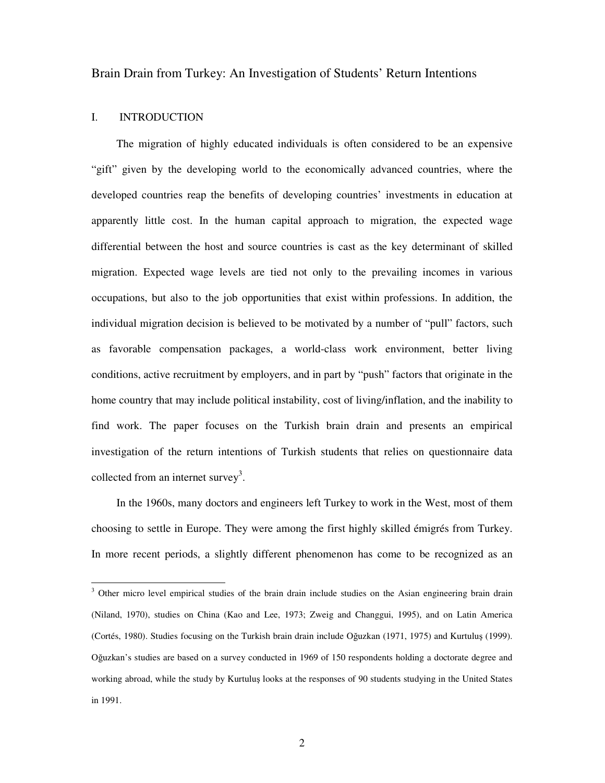# Brain Drain from Turkey: An Investigation of Students' Return Intentions

# I. INTRODUCTION

 $\overline{a}$ 

The migration of highly educated individuals is often considered to be an expensive "gift" given by the developing world to the economically advanced countries, where the developed countries reap the benefits of developing countries' investments in education at apparently little cost. In the human capital approach to migration, the expected wage differential between the host and source countries is cast as the key determinant of skilled migration. Expected wage levels are tied not only to the prevailing incomes in various occupations, but also to the job opportunities that exist within professions. In addition, the individual migration decision is believed to be motivated by a number of "pull" factors, such as favorable compensation packages, a world-class work environment, better living conditions, active recruitment by employers, and in part by "push" factors that originate in the home country that may include political instability, cost of living/inflation, and the inability to find work. The paper focuses on the Turkish brain drain and presents an empirical investigation of the return intentions of Turkish students that relies on questionnaire data collected from an internet survey<sup>3</sup>.

In the 1960s, many doctors and engineers left Turkey to work in the West, most of them choosing to settle in Europe. They were among the first highly skilled émigrés from Turkey. In more recent periods, a slightly different phenomenon has come to be recognized as an

<sup>&</sup>lt;sup>3</sup> Other micro level empirical studies of the brain drain include studies on the Asian engineering brain drain (Niland, 1970), studies on China (Kao and Lee, 1973; Zweig and Changgui, 1995), and on Latin America (Cortés, 1980). Studies focusing on the Turkish brain drain include Oğuzkan (1971, 1975) and Kurtuluş (1999). Oğuzkan's studies are based on a survey conducted in 1969 of 150 respondents holding a doctorate degree and working abroad, while the study by Kurtuluş looks at the responses of 90 students studying in the United States in 1991.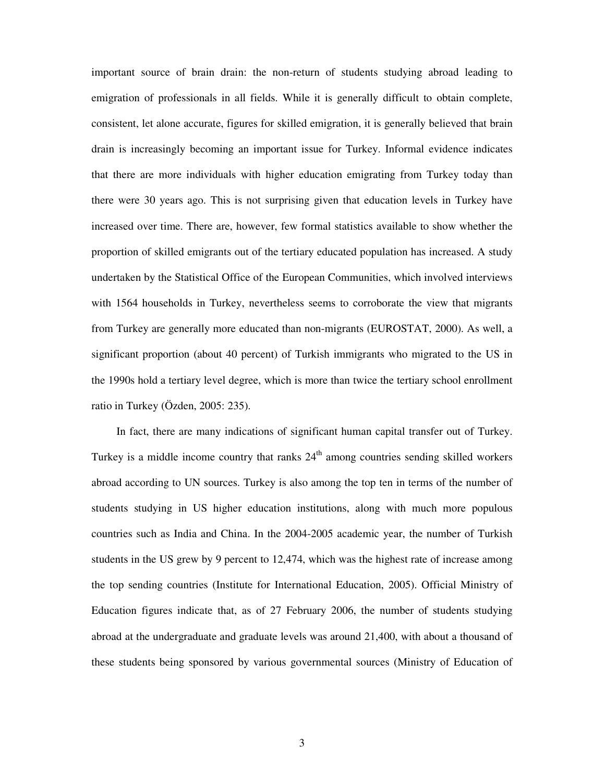important source of brain drain: the non-return of students studying abroad leading to emigration of professionals in all fields. While it is generally difficult to obtain complete, consistent, let alone accurate, figures for skilled emigration, it is generally believed that brain drain is increasingly becoming an important issue for Turkey. Informal evidence indicates that there are more individuals with higher education emigrating from Turkey today than there were 30 years ago. This is not surprising given that education levels in Turkey have increased over time. There are, however, few formal statistics available to show whether the proportion of skilled emigrants out of the tertiary educated population has increased. A study undertaken by the Statistical Office of the European Communities, which involved interviews with 1564 households in Turkey, nevertheless seems to corroborate the view that migrants from Turkey are generally more educated than non-migrants (EUROSTAT, 2000). As well, a significant proportion (about 40 percent) of Turkish immigrants who migrated to the US in the 1990s hold a tertiary level degree, which is more than twice the tertiary school enrollment ratio in Turkey (Özden, 2005: 235).

In fact, there are many indications of significant human capital transfer out of Turkey. Turkey is a middle income country that ranks  $24<sup>th</sup>$  among countries sending skilled workers abroad according to UN sources. Turkey is also among the top ten in terms of the number of students studying in US higher education institutions, along with much more populous countries such as India and China. In the 2004-2005 academic year, the number of Turkish students in the US grew by 9 percent to 12,474, which was the highest rate of increase among the top sending countries (Institute for International Education, 2005). Official Ministry of Education figures indicate that, as of 27 February 2006, the number of students studying abroad at the undergraduate and graduate levels was around 21,400, with about a thousand of these students being sponsored by various governmental sources (Ministry of Education of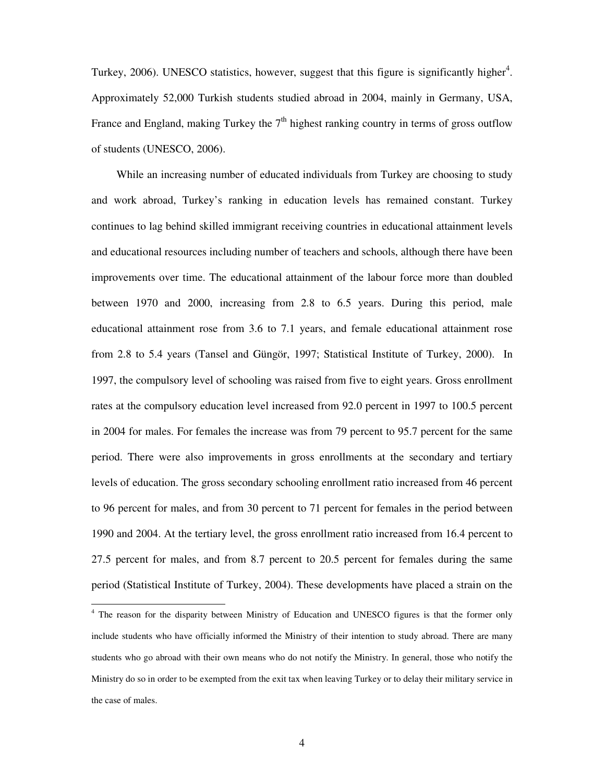Turkey, 2006). UNESCO statistics, however, suggest that this figure is significantly higher<sup>4</sup>. Approximately 52,000 Turkish students studied abroad in 2004, mainly in Germany, USA, France and England, making Turkey the  $7<sup>th</sup>$  highest ranking country in terms of gross outflow of students (UNESCO, 2006).

While an increasing number of educated individuals from Turkey are choosing to study and work abroad, Turkey's ranking in education levels has remained constant. Turkey continues to lag behind skilled immigrant receiving countries in educational attainment levels and educational resources including number of teachers and schools, although there have been improvements over time. The educational attainment of the labour force more than doubled between 1970 and 2000, increasing from 2.8 to 6.5 years. During this period, male educational attainment rose from 3.6 to 7.1 years, and female educational attainment rose from 2.8 to 5.4 years (Tansel and Güngör, 1997; Statistical Institute of Turkey, 2000). In 1997, the compulsory level of schooling was raised from five to eight years. Gross enrollment rates at the compulsory education level increased from 92.0 percent in 1997 to 100.5 percent in 2004 for males. For females the increase was from 79 percent to 95.7 percent for the same period. There were also improvements in gross enrollments at the secondary and tertiary levels of education. The gross secondary schooling enrollment ratio increased from 46 percent to 96 percent for males, and from 30 percent to 71 percent for females in the period between 1990 and 2004. At the tertiary level, the gross enrollment ratio increased from 16.4 percent to 27.5 percent for males, and from 8.7 percent to 20.5 percent for females during the same period (Statistical Institute of Turkey, 2004). These developments have placed a strain on the

<sup>&</sup>lt;sup>4</sup> The reason for the disparity between Ministry of Education and UNESCO figures is that the former only include students who have officially informed the Ministry of their intention to study abroad. There are many students who go abroad with their own means who do not notify the Ministry. In general, those who notify the Ministry do so in order to be exempted from the exit tax when leaving Turkey or to delay their military service in the case of males.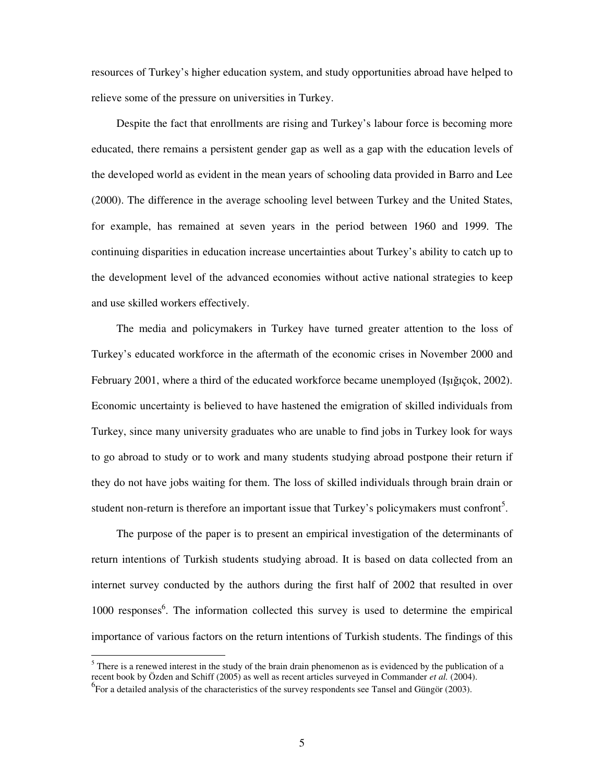resources of Turkey's higher education system, and study opportunities abroad have helped to relieve some of the pressure on universities in Turkey.

Despite the fact that enrollments are rising and Turkey's labour force is becoming more educated, there remains a persistent gender gap as well as a gap with the education levels of the developed world as evident in the mean years of schooling data provided in Barro and Lee (2000). The difference in the average schooling level between Turkey and the United States, for example, has remained at seven years in the period between 1960 and 1999. The continuing disparities in education increase uncertainties about Turkey's ability to catch up to the development level of the advanced economies without active national strategies to keep and use skilled workers effectively.

The media and policymakers in Turkey have turned greater attention to the loss of Turkey's educated workforce in the aftermath of the economic crises in November 2000 and February 2001, where a third of the educated workforce became unemployed (Işığıçok, 2002). Economic uncertainty is believed to have hastened the emigration of skilled individuals from Turkey, since many university graduates who are unable to find jobs in Turkey look for ways to go abroad to study or to work and many students studying abroad postpone their return if they do not have jobs waiting for them. The loss of skilled individuals through brain drain or student non-return is therefore an important issue that Turkey's policymakers must confront<sup>5</sup>.

The purpose of the paper is to present an empirical investigation of the determinants of return intentions of Turkish students studying abroad. It is based on data collected from an internet survey conducted by the authors during the first half of 2002 that resulted in over 1000 responses<sup>6</sup>. The information collected this survey is used to determine the empirical importance of various factors on the return intentions of Turkish students. The findings of this

 $\overline{a}$ 

 $<sup>5</sup>$  There is a renewed interest in the study of the brain drain phenomenon as is evidenced by the publication of a</sup> recent book by Özden and Schiff (2005) as well as recent articles surveyed in Commander *et al.* (2004).

<sup>&</sup>lt;sup>6</sup> For a detailed analysis of the characteristics of the survey respondents see Tansel and Güngör (2003).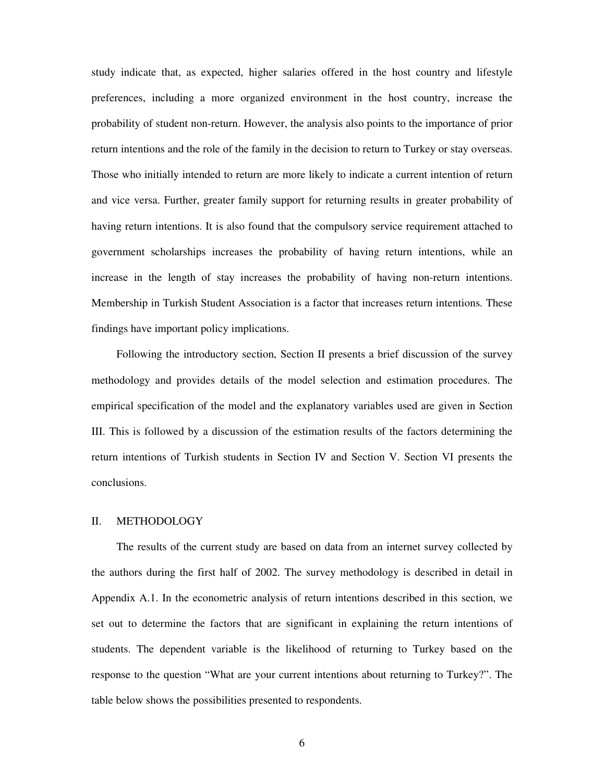study indicate that, as expected, higher salaries offered in the host country and lifestyle preferences, including a more organized environment in the host country, increase the probability of student non-return. However, the analysis also points to the importance of prior return intentions and the role of the family in the decision to return to Turkey or stay overseas. Those who initially intended to return are more likely to indicate a current intention of return and vice versa. Further, greater family support for returning results in greater probability of having return intentions. It is also found that the compulsory service requirement attached to government scholarships increases the probability of having return intentions, while an increase in the length of stay increases the probability of having non-return intentions. Membership in Turkish Student Association is a factor that increases return intentions. These findings have important policy implications.

Following the introductory section, Section II presents a brief discussion of the survey methodology and provides details of the model selection and estimation procedures. The empirical specification of the model and the explanatory variables used are given in Section III. This is followed by a discussion of the estimation results of the factors determining the return intentions of Turkish students in Section IV and Section V. Section VI presents the conclusions.

# II. METHODOLOGY

The results of the current study are based on data from an internet survey collected by the authors during the first half of 2002. The survey methodology is described in detail in Appendix A.1. In the econometric analysis of return intentions described in this section, we set out to determine the factors that are significant in explaining the return intentions of students. The dependent variable is the likelihood of returning to Turkey based on the response to the question "What are your current intentions about returning to Turkey?". The table below shows the possibilities presented to respondents.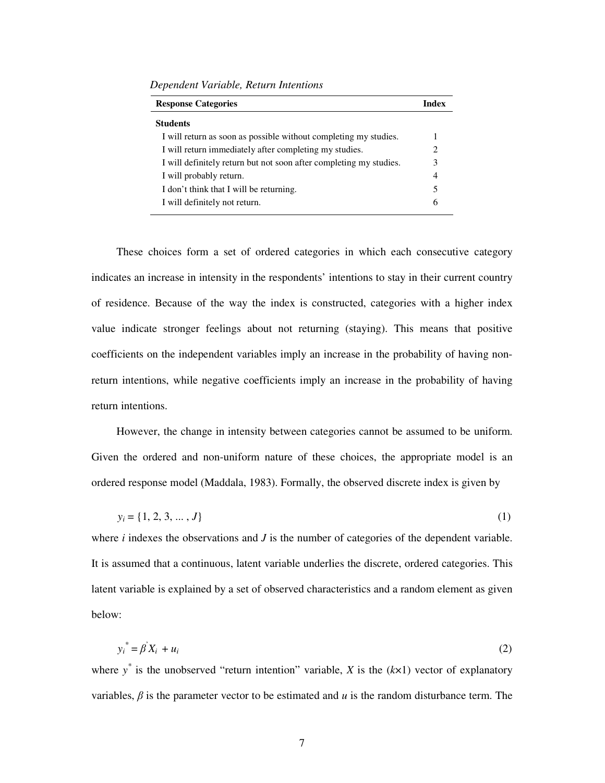*Dependent Variable, Return Intentions* 

| <b>Response Categories</b>                                         | Index                       |
|--------------------------------------------------------------------|-----------------------------|
| <b>Students</b>                                                    |                             |
| I will return as soon as possible without completing my studies.   |                             |
| I will return immediately after completing my studies.             | $\mathcal{D}_{\mathcal{L}}$ |
| I will definitely return but not soon after completing my studies. | 3                           |
| I will probably return.                                            | 4                           |
| I don't think that I will be returning.                            | 5                           |
| I will definitely not return.                                      | 6                           |
|                                                                    |                             |

These choices form a set of ordered categories in which each consecutive category indicates an increase in intensity in the respondents' intentions to stay in their current country of residence. Because of the way the index is constructed, categories with a higher index value indicate stronger feelings about not returning (staying). This means that positive coefficients on the independent variables imply an increase in the probability of having nonreturn intentions, while negative coefficients imply an increase in the probability of having return intentions.

However, the change in intensity between categories cannot be assumed to be uniform. Given the ordered and non-uniform nature of these choices, the appropriate model is an ordered response model (Maddala, 1983). Formally, the observed discrete index is given by

$$
y_i = \{1, 2, 3, \dots, J\} \tag{1}
$$

where *i* indexes the observations and *J* is the number of categories of the dependent variable. It is assumed that a continuous, latent variable underlies the discrete, ordered categories. This latent variable is explained by a set of observed characteristics and a random element as given below:

$$
y_i^* = \beta' X_i + u_i \tag{2}
$$

where  $y^*$  is the unobserved "return intention" variable, *X* is the  $(k \times 1)$  vector of explanatory variables,  $\beta$  is the parameter vector to be estimated and *u* is the random disturbance term. The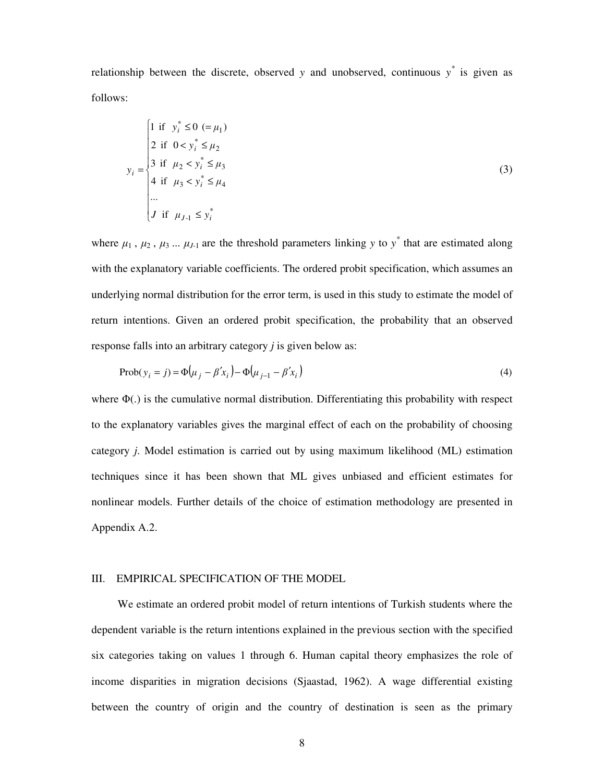relationship between the discrete, observed  $y$  and unobserved, continuous  $y^*$  is given as follows:

$$
y_{i} =\begin{cases} 1 & \text{if } y_{i}^{*} \leq 0 \ (=\mu_{1}) \\ 2 & \text{if } 0 < y_{i}^{*} \leq \mu_{2} \\ 3 & \text{if } \mu_{2} < y_{i}^{*} \leq \mu_{3} \\ 4 & \text{if } \mu_{3} < y_{i}^{*} \leq \mu_{4} \\ \dots \\ J & \text{if } \mu_{J-1} \leq y_{i}^{*} \end{cases} \tag{3}
$$

where  $\mu_1$ ,  $\mu_2$ ,  $\mu_3$ ...  $\mu_{J-1}$  are the threshold parameters linking y to y<sup>\*</sup> that are estimated along with the explanatory variable coefficients. The ordered probit specification, which assumes an underlying normal distribution for the error term, is used in this study to estimate the model of return intentions. Given an ordered probit specification, the probability that an observed response falls into an arbitrary category *j* is given below as:

$$
\text{Prob}(y_i = j) = \Phi(\mu_j - \beta' x_i) - \Phi(\mu_{j-1} - \beta' x_i)
$$
\n<sup>(4)</sup>

where  $\Phi(.)$  is the cumulative normal distribution. Differentiating this probability with respect to the explanatory variables gives the marginal effect of each on the probability of choosing category *j*. Model estimation is carried out by using maximum likelihood (ML) estimation techniques since it has been shown that ML gives unbiased and efficient estimates for nonlinear models. Further details of the choice of estimation methodology are presented in Appendix A.2.

# III. EMPIRICAL SPECIFICATION OF THE MODEL

We estimate an ordered probit model of return intentions of Turkish students where the dependent variable is the return intentions explained in the previous section with the specified six categories taking on values 1 through 6. Human capital theory emphasizes the role of income disparities in migration decisions (Sjaastad, 1962). A wage differential existing between the country of origin and the country of destination is seen as the primary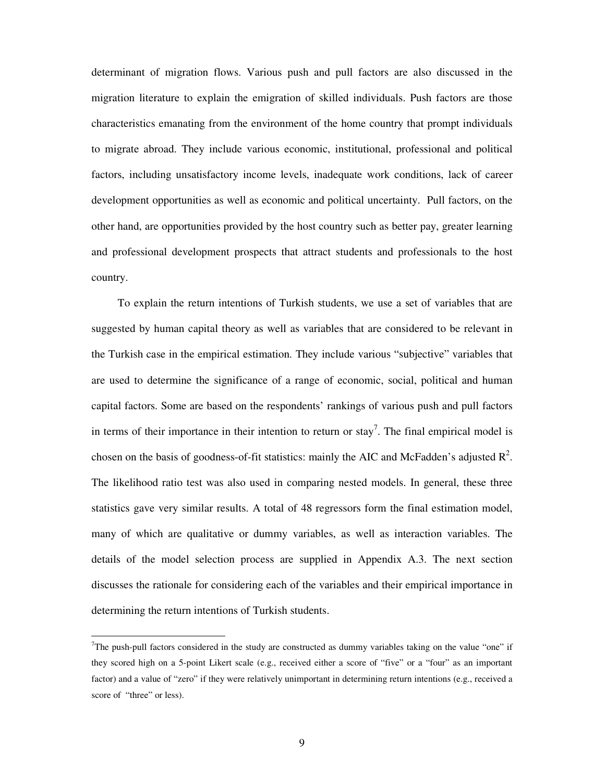determinant of migration flows. Various push and pull factors are also discussed in the migration literature to explain the emigration of skilled individuals. Push factors are those characteristics emanating from the environment of the home country that prompt individuals to migrate abroad. They include various economic, institutional, professional and political factors, including unsatisfactory income levels, inadequate work conditions, lack of career development opportunities as well as economic and political uncertainty. Pull factors, on the other hand, are opportunities provided by the host country such as better pay, greater learning and professional development prospects that attract students and professionals to the host country.

To explain the return intentions of Turkish students, we use a set of variables that are suggested by human capital theory as well as variables that are considered to be relevant in the Turkish case in the empirical estimation. They include various "subjective" variables that are used to determine the significance of a range of economic, social, political and human capital factors. Some are based on the respondents' rankings of various push and pull factors in terms of their importance in their intention to return or stay<sup>7</sup>. The final empirical model is chosen on the basis of goodness-of-fit statistics: mainly the AIC and McFadden's adjusted  $\mathbb{R}^2$ . The likelihood ratio test was also used in comparing nested models. In general, these three statistics gave very similar results. A total of 48 regressors form the final estimation model, many of which are qualitative or dummy variables, as well as interaction variables. The details of the model selection process are supplied in Appendix A.3. The next section discusses the rationale for considering each of the variables and their empirical importance in determining the return intentions of Turkish students.

 $\overline{a}$ 

<sup>&</sup>lt;sup>7</sup>The push-pull factors considered in the study are constructed as dummy variables taking on the value "one" if they scored high on a 5-point Likert scale (e.g., received either a score of "five" or a "four" as an important factor) and a value of "zero" if they were relatively unimportant in determining return intentions (e.g., received a score of "three" or less).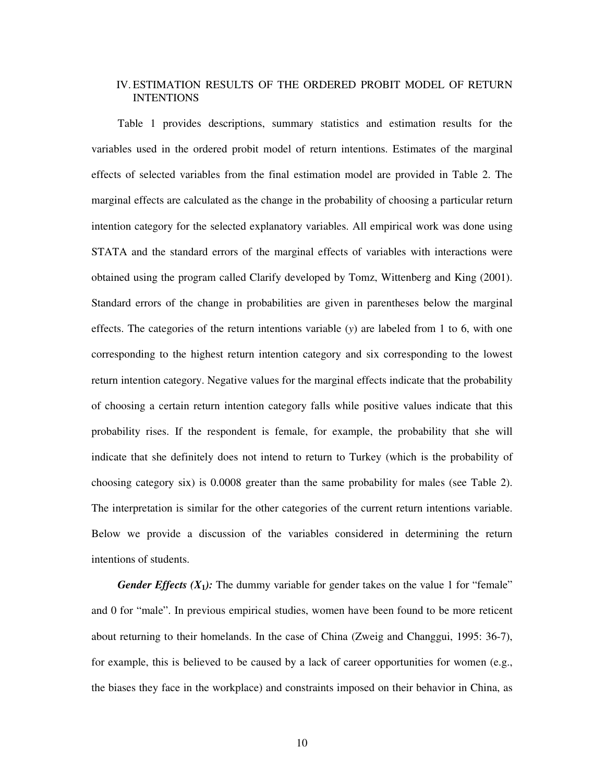# IV. ESTIMATION RESULTS OF THE ORDERED PROBIT MODEL OF RETURN INTENTIONS

Table 1 provides descriptions, summary statistics and estimation results for the variables used in the ordered probit model of return intentions. Estimates of the marginal effects of selected variables from the final estimation model are provided in Table 2. The marginal effects are calculated as the change in the probability of choosing a particular return intention category for the selected explanatory variables. All empirical work was done using STATA and the standard errors of the marginal effects of variables with interactions were obtained using the program called Clarify developed by Tomz, Wittenberg and King (2001). Standard errors of the change in probabilities are given in parentheses below the marginal effects. The categories of the return intentions variable (*y*) are labeled from 1 to 6, with one corresponding to the highest return intention category and six corresponding to the lowest return intention category. Negative values for the marginal effects indicate that the probability of choosing a certain return intention category falls while positive values indicate that this probability rises. If the respondent is female, for example, the probability that she will indicate that she definitely does not intend to return to Turkey (which is the probability of choosing category six) is 0.0008 greater than the same probability for males (see Table 2). The interpretation is similar for the other categories of the current return intentions variable. Below we provide a discussion of the variables considered in determining the return intentions of students.

*Gender Effects*  $(X_1)$ *:* The dummy variable for gender takes on the value 1 for "female" and 0 for "male". In previous empirical studies, women have been found to be more reticent about returning to their homelands. In the case of China (Zweig and Changgui, 1995: 36-7), for example, this is believed to be caused by a lack of career opportunities for women (e.g., the biases they face in the workplace) and constraints imposed on their behavior in China, as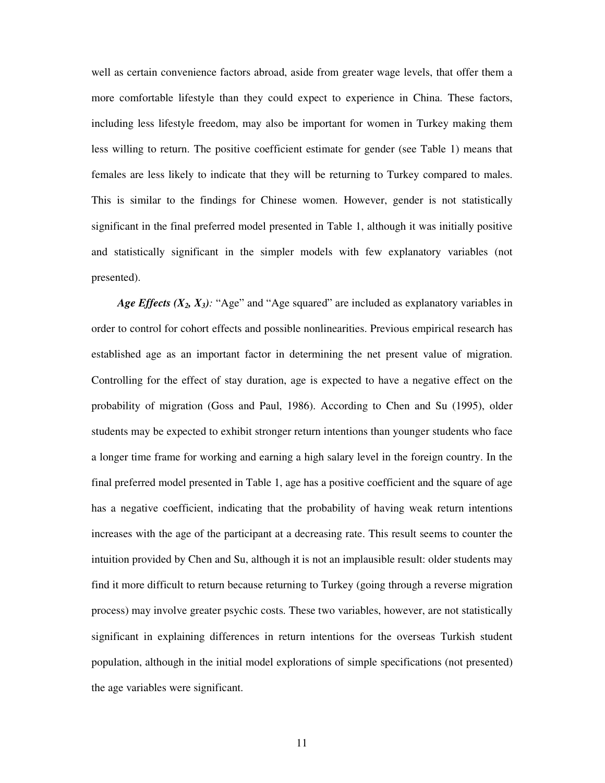well as certain convenience factors abroad, aside from greater wage levels, that offer them a more comfortable lifestyle than they could expect to experience in China. These factors, including less lifestyle freedom, may also be important for women in Turkey making them less willing to return. The positive coefficient estimate for gender (see Table 1) means that females are less likely to indicate that they will be returning to Turkey compared to males. This is similar to the findings for Chinese women. However, gender is not statistically significant in the final preferred model presented in Table 1, although it was initially positive and statistically significant in the simpler models with few explanatory variables (not presented).

*Age Effects (X2, X3):* "Age" and "Age squared" are included as explanatory variables in order to control for cohort effects and possible nonlinearities. Previous empirical research has established age as an important factor in determining the net present value of migration. Controlling for the effect of stay duration, age is expected to have a negative effect on the probability of migration (Goss and Paul, 1986). According to Chen and Su (1995), older students may be expected to exhibit stronger return intentions than younger students who face a longer time frame for working and earning a high salary level in the foreign country. In the final preferred model presented in Table 1, age has a positive coefficient and the square of age has a negative coefficient, indicating that the probability of having weak return intentions increases with the age of the participant at a decreasing rate. This result seems to counter the intuition provided by Chen and Su, although it is not an implausible result: older students may find it more difficult to return because returning to Turkey (going through a reverse migration process) may involve greater psychic costs. These two variables, however, are not statistically significant in explaining differences in return intentions for the overseas Turkish student population, although in the initial model explorations of simple specifications (not presented) the age variables were significant.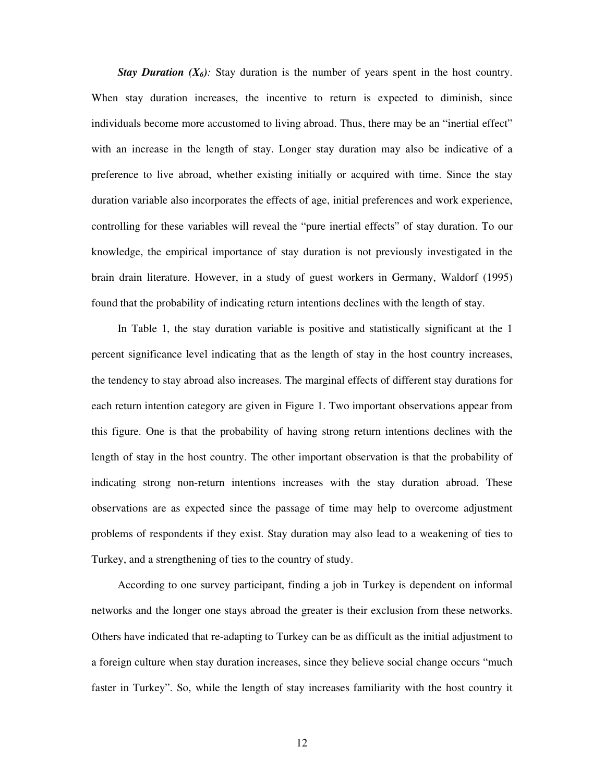*Stay Duration*  $(X_6)$ *:* Stay duration is the number of years spent in the host country. When stay duration increases, the incentive to return is expected to diminish, since individuals become more accustomed to living abroad. Thus, there may be an "inertial effect" with an increase in the length of stay. Longer stay duration may also be indicative of a preference to live abroad, whether existing initially or acquired with time. Since the stay duration variable also incorporates the effects of age, initial preferences and work experience, controlling for these variables will reveal the "pure inertial effects" of stay duration. To our knowledge, the empirical importance of stay duration is not previously investigated in the brain drain literature. However, in a study of guest workers in Germany, Waldorf (1995) found that the probability of indicating return intentions declines with the length of stay.

In Table 1, the stay duration variable is positive and statistically significant at the 1 percent significance level indicating that as the length of stay in the host country increases, the tendency to stay abroad also increases. The marginal effects of different stay durations for each return intention category are given in Figure 1. Two important observations appear from this figure. One is that the probability of having strong return intentions declines with the length of stay in the host country. The other important observation is that the probability of indicating strong non-return intentions increases with the stay duration abroad. These observations are as expected since the passage of time may help to overcome adjustment problems of respondents if they exist. Stay duration may also lead to a weakening of ties to Turkey, and a strengthening of ties to the country of study.

According to one survey participant, finding a job in Turkey is dependent on informal networks and the longer one stays abroad the greater is their exclusion from these networks. Others have indicated that re-adapting to Turkey can be as difficult as the initial adjustment to a foreign culture when stay duration increases, since they believe social change occurs "much faster in Turkey". So, while the length of stay increases familiarity with the host country it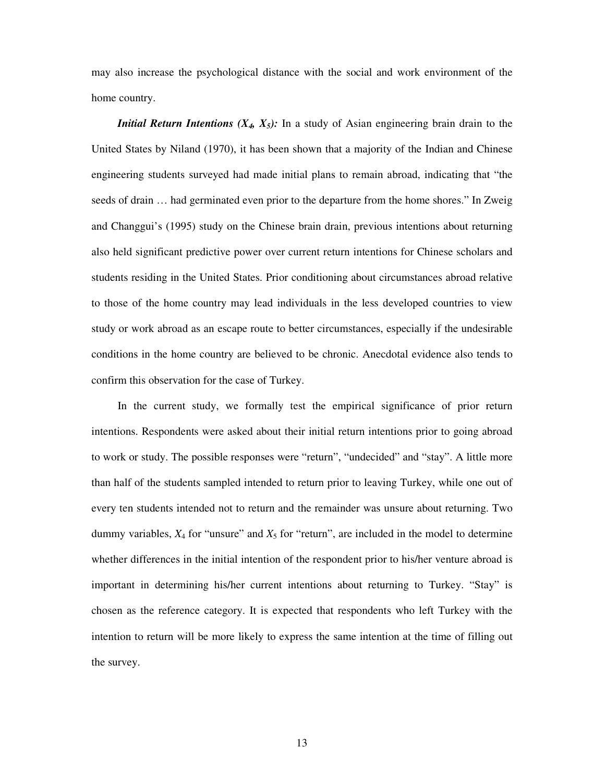may also increase the psychological distance with the social and work environment of the home country.

*Initial Return Intentions (X4, X5):* In a study of Asian engineering brain drain to the United States by Niland (1970), it has been shown that a majority of the Indian and Chinese engineering students surveyed had made initial plans to remain abroad, indicating that "the seeds of drain … had germinated even prior to the departure from the home shores." In Zweig and Changgui's (1995) study on the Chinese brain drain, previous intentions about returning also held significant predictive power over current return intentions for Chinese scholars and students residing in the United States. Prior conditioning about circumstances abroad relative to those of the home country may lead individuals in the less developed countries to view study or work abroad as an escape route to better circumstances, especially if the undesirable conditions in the home country are believed to be chronic. Anecdotal evidence also tends to confirm this observation for the case of Turkey.

In the current study, we formally test the empirical significance of prior return intentions. Respondents were asked about their initial return intentions prior to going abroad to work or study. The possible responses were "return", "undecided" and "stay". A little more than half of the students sampled intended to return prior to leaving Turkey, while one out of every ten students intended not to return and the remainder was unsure about returning. Two dummy variables, *X*4 for "unsure" and *X*5 for "return", are included in the model to determine whether differences in the initial intention of the respondent prior to his/her venture abroad is important in determining his/her current intentions about returning to Turkey. "Stay" is chosen as the reference category. It is expected that respondents who left Turkey with the intention to return will be more likely to express the same intention at the time of filling out the survey.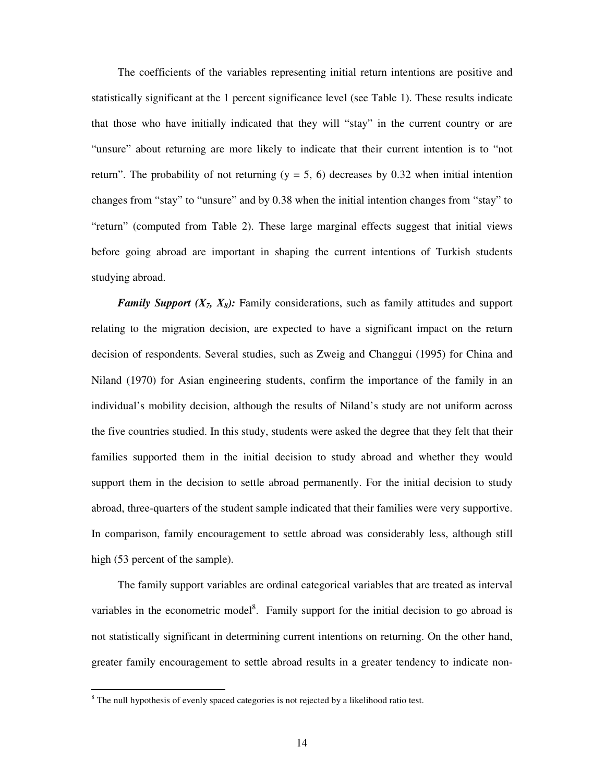The coefficients of the variables representing initial return intentions are positive and statistically significant at the 1 percent significance level (see Table 1). These results indicate that those who have initially indicated that they will "stay" in the current country or are "unsure" about returning are more likely to indicate that their current intention is to "not return". The probability of not returning ( $y = 5$ , 6) decreases by 0.32 when initial intention changes from "stay" to "unsure" and by 0.38 when the initial intention changes from "stay" to "return" (computed from Table 2). These large marginal effects suggest that initial views before going abroad are important in shaping the current intentions of Turkish students studying abroad.

*Family Support (X7, X8):* Family considerations, such as family attitudes and support relating to the migration decision, are expected to have a significant impact on the return decision of respondents. Several studies, such as Zweig and Changgui (1995) for China and Niland (1970) for Asian engineering students, confirm the importance of the family in an individual's mobility decision, although the results of Niland's study are not uniform across the five countries studied. In this study, students were asked the degree that they felt that their families supported them in the initial decision to study abroad and whether they would support them in the decision to settle abroad permanently. For the initial decision to study abroad, three-quarters of the student sample indicated that their families were very supportive. In comparison, family encouragement to settle abroad was considerably less, although still high (53 percent of the sample).

The family support variables are ordinal categorical variables that are treated as interval variables in the econometric model<sup>8</sup>. Family support for the initial decision to go abroad is not statistically significant in determining current intentions on returning. On the other hand, greater family encouragement to settle abroad results in a greater tendency to indicate non-

 $\overline{a}$ 

 $8$  The null hypothesis of evenly spaced categories is not rejected by a likelihood ratio test.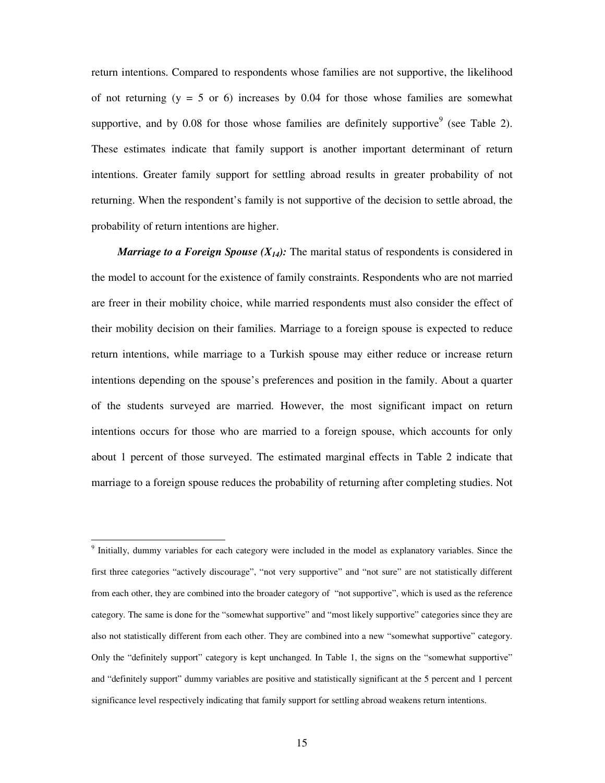return intentions. Compared to respondents whose families are not supportive, the likelihood of not returning  $(y = 5 \text{ or } 6)$  increases by 0.04 for those whose families are somewhat supportive, and by 0.08 for those whose families are definitely supportive  $9$  (see Table 2). These estimates indicate that family support is another important determinant of return intentions. Greater family support for settling abroad results in greater probability of not returning. When the respondent's family is not supportive of the decision to settle abroad, the probability of return intentions are higher.

*Marriage to a Foreign Spouse*  $(X_{14})$ : The marital status of respondents is considered in the model to account for the existence of family constraints. Respondents who are not married are freer in their mobility choice, while married respondents must also consider the effect of their mobility decision on their families. Marriage to a foreign spouse is expected to reduce return intentions, while marriage to a Turkish spouse may either reduce or increase return intentions depending on the spouse's preferences and position in the family. About a quarter of the students surveyed are married. However, the most significant impact on return intentions occurs for those who are married to a foreign spouse, which accounts for only about 1 percent of those surveyed. The estimated marginal effects in Table 2 indicate that marriage to a foreign spouse reduces the probability of returning after completing studies. Not

l

<sup>&</sup>lt;sup>9</sup> Initially, dummy variables for each category were included in the model as explanatory variables. Since the first three categories "actively discourage", "not very supportive" and "not sure" are not statistically different from each other, they are combined into the broader category of "not supportive", which is used as the reference category. The same is done for the "somewhat supportive" and "most likely supportive" categories since they are also not statistically different from each other. They are combined into a new "somewhat supportive" category. Only the "definitely support" category is kept unchanged. In Table 1, the signs on the "somewhat supportive" and "definitely support" dummy variables are positive and statistically significant at the 5 percent and 1 percent significance level respectively indicating that family support for settling abroad weakens return intentions.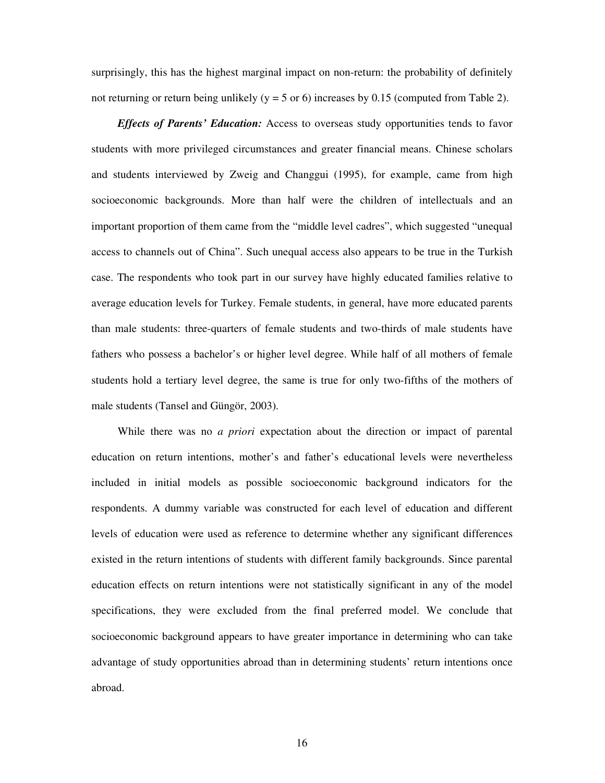surprisingly, this has the highest marginal impact on non-return: the probability of definitely not returning or return being unlikely ( $y = 5$  or 6) increases by 0.15 (computed from Table 2).

*Effects of Parents' Education:* Access to overseas study opportunities tends to favor students with more privileged circumstances and greater financial means. Chinese scholars and students interviewed by Zweig and Changgui (1995), for example, came from high socioeconomic backgrounds. More than half were the children of intellectuals and an important proportion of them came from the "middle level cadres", which suggested "unequal access to channels out of China". Such unequal access also appears to be true in the Turkish case. The respondents who took part in our survey have highly educated families relative to average education levels for Turkey. Female students, in general, have more educated parents than male students: three-quarters of female students and two-thirds of male students have fathers who possess a bachelor's or higher level degree. While half of all mothers of female students hold a tertiary level degree, the same is true for only two-fifths of the mothers of male students (Tansel and Güngör, 2003).

While there was no *a priori* expectation about the direction or impact of parental education on return intentions, mother's and father's educational levels were nevertheless included in initial models as possible socioeconomic background indicators for the respondents. A dummy variable was constructed for each level of education and different levels of education were used as reference to determine whether any significant differences existed in the return intentions of students with different family backgrounds. Since parental education effects on return intentions were not statistically significant in any of the model specifications, they were excluded from the final preferred model. We conclude that socioeconomic background appears to have greater importance in determining who can take advantage of study opportunities abroad than in determining students' return intentions once abroad.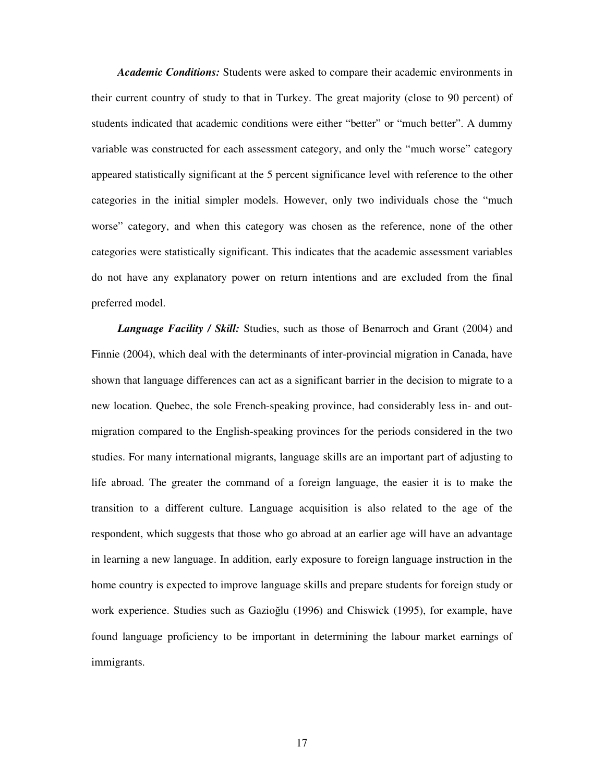*Academic Conditions:* Students were asked to compare their academic environments in their current country of study to that in Turkey. The great majority (close to 90 percent) of students indicated that academic conditions were either "better" or "much better". A dummy variable was constructed for each assessment category, and only the "much worse" category appeared statistically significant at the 5 percent significance level with reference to the other categories in the initial simpler models. However, only two individuals chose the "much worse" category, and when this category was chosen as the reference, none of the other categories were statistically significant. This indicates that the academic assessment variables do not have any explanatory power on return intentions and are excluded from the final preferred model.

*Language Facility / Skill:* Studies, such as those of Benarroch and Grant (2004) and Finnie (2004), which deal with the determinants of inter-provincial migration in Canada, have shown that language differences can act as a significant barrier in the decision to migrate to a new location. Quebec, the sole French-speaking province, had considerably less in- and outmigration compared to the English-speaking provinces for the periods considered in the two studies. For many international migrants, language skills are an important part of adjusting to life abroad. The greater the command of a foreign language, the easier it is to make the transition to a different culture. Language acquisition is also related to the age of the respondent, which suggests that those who go abroad at an earlier age will have an advantage in learning a new language. In addition, early exposure to foreign language instruction in the home country is expected to improve language skills and prepare students for foreign study or work experience. Studies such as Gazioğlu (1996) and Chiswick (1995), for example, have found language proficiency to be important in determining the labour market earnings of immigrants.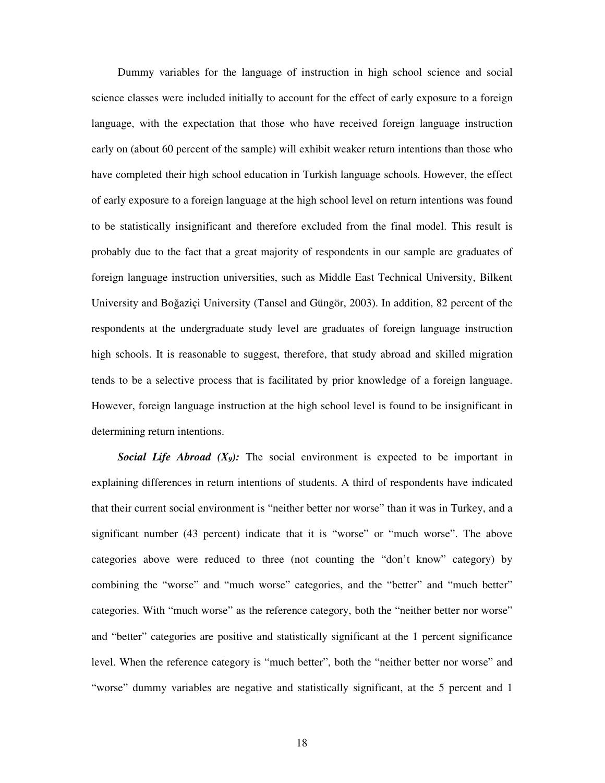Dummy variables for the language of instruction in high school science and social science classes were included initially to account for the effect of early exposure to a foreign language, with the expectation that those who have received foreign language instruction early on (about 60 percent of the sample) will exhibit weaker return intentions than those who have completed their high school education in Turkish language schools. However, the effect of early exposure to a foreign language at the high school level on return intentions was found to be statistically insignificant and therefore excluded from the final model. This result is probably due to the fact that a great majority of respondents in our sample are graduates of foreign language instruction universities, such as Middle East Technical University, Bilkent University and Boğaziçi University (Tansel and Güngör, 2003). In addition, 82 percent of the respondents at the undergraduate study level are graduates of foreign language instruction high schools. It is reasonable to suggest, therefore, that study abroad and skilled migration tends to be a selective process that is facilitated by prior knowledge of a foreign language. However, foreign language instruction at the high school level is found to be insignificant in determining return intentions.

*Social Life Abroad (X9):* The social environment is expected to be important in explaining differences in return intentions of students. A third of respondents have indicated that their current social environment is "neither better nor worse" than it was in Turkey, and a significant number (43 percent) indicate that it is "worse" or "much worse". The above categories above were reduced to three (not counting the "don't know" category) by combining the "worse" and "much worse" categories, and the "better" and "much better" categories. With "much worse" as the reference category, both the "neither better nor worse" and "better" categories are positive and statistically significant at the 1 percent significance level. When the reference category is "much better", both the "neither better nor worse" and "worse" dummy variables are negative and statistically significant, at the 5 percent and 1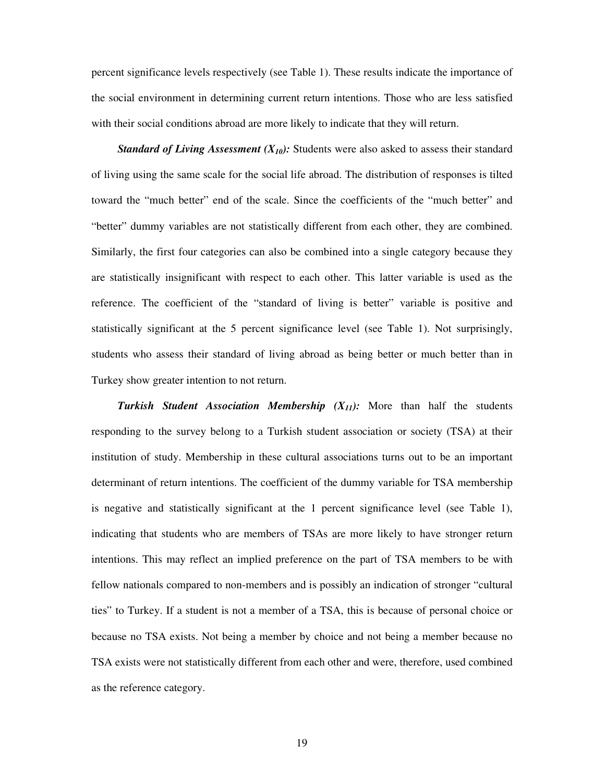percent significance levels respectively (see Table 1). These results indicate the importance of the social environment in determining current return intentions. Those who are less satisfied with their social conditions abroad are more likely to indicate that they will return.

*Standard of Living Assessment*  $(X_{10})$ : Students were also asked to assess their standard of living using the same scale for the social life abroad. The distribution of responses is tilted toward the "much better" end of the scale. Since the coefficients of the "much better" and "better" dummy variables are not statistically different from each other, they are combined. Similarly, the first four categories can also be combined into a single category because they are statistically insignificant with respect to each other. This latter variable is used as the reference. The coefficient of the "standard of living is better" variable is positive and statistically significant at the 5 percent significance level (see Table 1). Not surprisingly, students who assess their standard of living abroad as being better or much better than in Turkey show greater intention to not return.

*Turkish Student Association Membership (X11):* More than half the students responding to the survey belong to a Turkish student association or society (TSA) at their institution of study. Membership in these cultural associations turns out to be an important determinant of return intentions. The coefficient of the dummy variable for TSA membership is negative and statistically significant at the 1 percent significance level (see Table 1), indicating that students who are members of TSAs are more likely to have stronger return intentions. This may reflect an implied preference on the part of TSA members to be with fellow nationals compared to non-members and is possibly an indication of stronger "cultural ties" to Turkey. If a student is not a member of a TSA, this is because of personal choice or because no TSA exists. Not being a member by choice and not being a member because no TSA exists were not statistically different from each other and were, therefore, used combined as the reference category.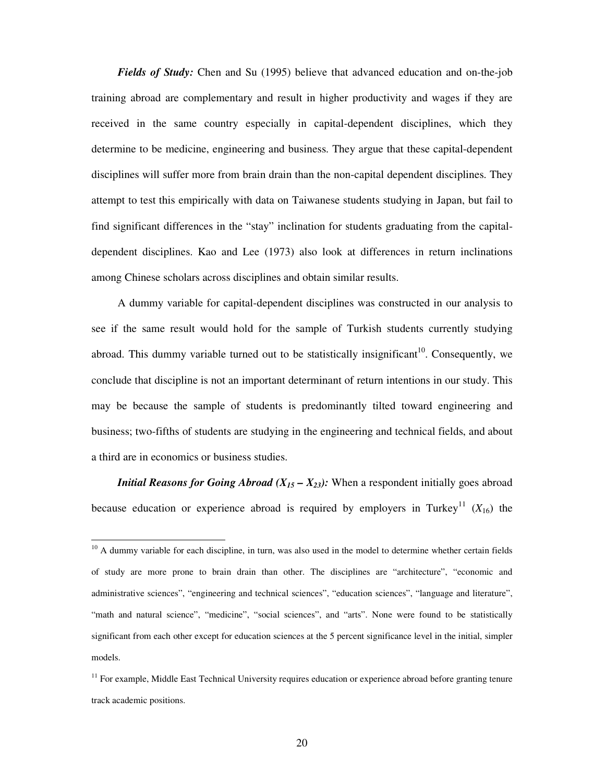*Fields of Study:* Chen and Su (1995) believe that advanced education and on-the-job training abroad are complementary and result in higher productivity and wages if they are received in the same country especially in capital-dependent disciplines, which they determine to be medicine, engineering and business. They argue that these capital-dependent disciplines will suffer more from brain drain than the non-capital dependent disciplines. They attempt to test this empirically with data on Taiwanese students studying in Japan, but fail to find significant differences in the "stay" inclination for students graduating from the capitaldependent disciplines. Kao and Lee (1973) also look at differences in return inclinations among Chinese scholars across disciplines and obtain similar results.

A dummy variable for capital-dependent disciplines was constructed in our analysis to see if the same result would hold for the sample of Turkish students currently studying abroad. This dummy variable turned out to be statistically insignificant<sup>10</sup>. Consequently, we conclude that discipline is not an important determinant of return intentions in our study. This may be because the sample of students is predominantly tilted toward engineering and business; two-fifths of students are studying in the engineering and technical fields, and about a third are in economics or business studies.

*Initial Reasons for Going Abroad*  $(X_{15} - X_{23})$ : When a respondent initially goes abroad because education or experience abroad is required by employers in Turkey<sup>11</sup> ( $X_{16}$ ) the

l

 $10<sup>10</sup>$  A dummy variable for each discipline, in turn, was also used in the model to determine whether certain fields of study are more prone to brain drain than other. The disciplines are "architecture", "economic and administrative sciences", "engineering and technical sciences", "education sciences", "language and literature", "math and natural science", "medicine", "social sciences", and "arts". None were found to be statistically significant from each other except for education sciences at the 5 percent significance level in the initial, simpler models.

 $11$  For example, Middle East Technical University requires education or experience abroad before granting tenure track academic positions.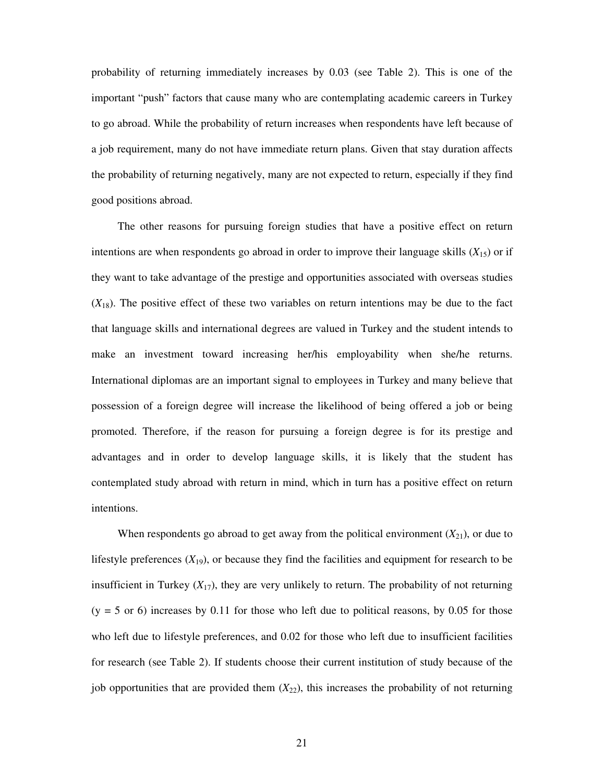probability of returning immediately increases by 0.03 (see Table 2). This is one of the important "push" factors that cause many who are contemplating academic careers in Turkey to go abroad. While the probability of return increases when respondents have left because of a job requirement, many do not have immediate return plans. Given that stay duration affects the probability of returning negatively, many are not expected to return, especially if they find good positions abroad.

The other reasons for pursuing foreign studies that have a positive effect on return intentions are when respondents go abroad in order to improve their language skills  $(X_{15})$  or if they want to take advantage of the prestige and opportunities associated with overseas studies  $(X_{18})$ . The positive effect of these two variables on return intentions may be due to the fact that language skills and international degrees are valued in Turkey and the student intends to make an investment toward increasing her/his employability when she/he returns. International diplomas are an important signal to employees in Turkey and many believe that possession of a foreign degree will increase the likelihood of being offered a job or being promoted. Therefore, if the reason for pursuing a foreign degree is for its prestige and advantages and in order to develop language skills, it is likely that the student has contemplated study abroad with return in mind, which in turn has a positive effect on return intentions.

When respondents go abroad to get away from the political environment  $(X_{21})$ , or due to lifestyle preferences  $(X_{19})$ , or because they find the facilities and equipment for research to be insufficient in Turkey  $(X_{17})$ , they are very unlikely to return. The probability of not returning  $(y = 5 \text{ or } 6)$  increases by 0.11 for those who left due to political reasons, by 0.05 for those who left due to lifestyle preferences, and 0.02 for those who left due to insufficient facilities for research (see Table 2). If students choose their current institution of study because of the job opportunities that are provided them  $(X_{22})$ , this increases the probability of not returning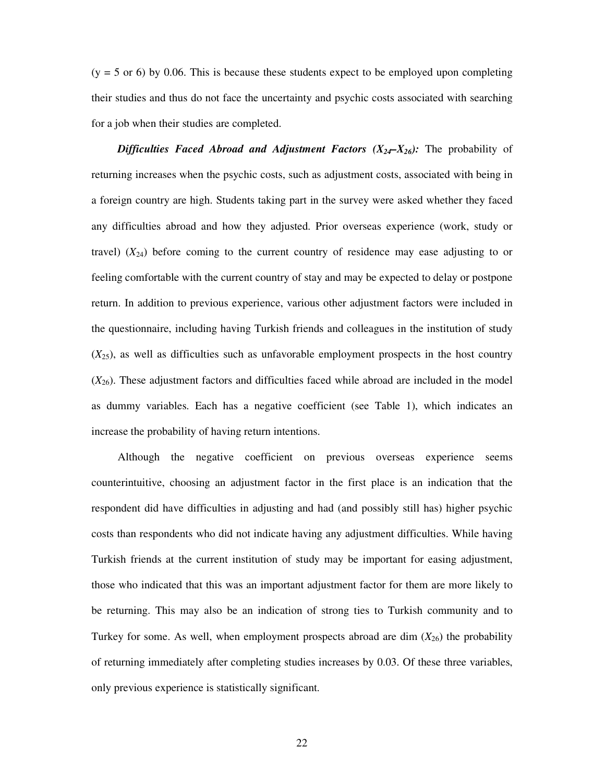$(y = 5 \text{ or } 6)$  by 0.06. This is because these students expect to be employed upon completing their studies and thus do not face the uncertainty and psychic costs associated with searching for a job when their studies are completed.

**Difficulties Faced Abroad and Adjustment Factors**  $(X_{24} - X_{26})$ **: The probability of** returning increases when the psychic costs, such as adjustment costs, associated with being in a foreign country are high. Students taking part in the survey were asked whether they faced any difficulties abroad and how they adjusted. Prior overseas experience (work, study or travel) (*X*24) before coming to the current country of residence may ease adjusting to or feeling comfortable with the current country of stay and may be expected to delay or postpone return. In addition to previous experience, various other adjustment factors were included in the questionnaire, including having Turkish friends and colleagues in the institution of study  $(X_{25})$ , as well as difficulties such as unfavorable employment prospects in the host country (*X*26). These adjustment factors and difficulties faced while abroad are included in the model as dummy variables. Each has a negative coefficient (see Table 1), which indicates an increase the probability of having return intentions.

Although the negative coefficient on previous overseas experience seems counterintuitive, choosing an adjustment factor in the first place is an indication that the respondent did have difficulties in adjusting and had (and possibly still has) higher psychic costs than respondents who did not indicate having any adjustment difficulties. While having Turkish friends at the current institution of study may be important for easing adjustment, those who indicated that this was an important adjustment factor for them are more likely to be returning. This may also be an indication of strong ties to Turkish community and to Turkey for some. As well, when employment prospects abroad are dim (*X*26) the probability of returning immediately after completing studies increases by 0.03. Of these three variables, only previous experience is statistically significant.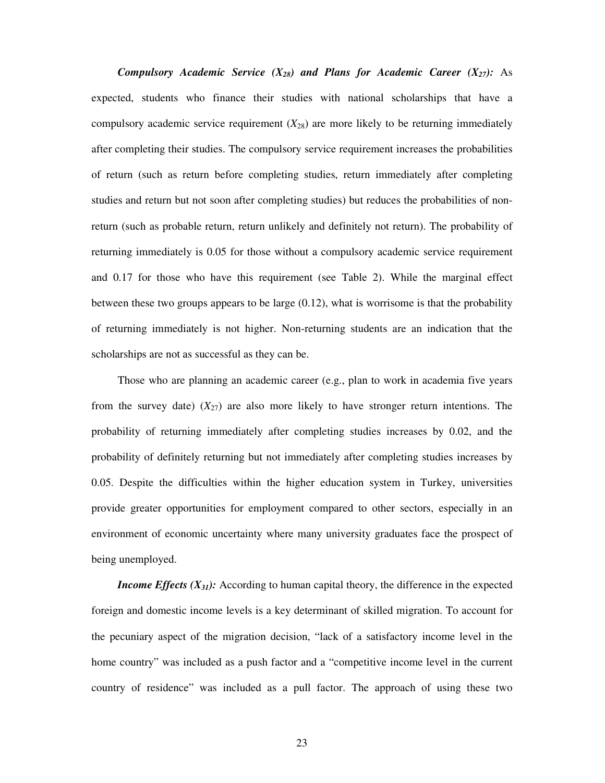*Compulsory Academic Service*  $(X_{28})$  and Plans for Academic Career  $(X_{27})$ : As expected, students who finance their studies with national scholarships that have a compulsory academic service requirement  $(X_{28})$  are more likely to be returning immediately after completing their studies. The compulsory service requirement increases the probabilities of return (such as return before completing studies, return immediately after completing studies and return but not soon after completing studies) but reduces the probabilities of nonreturn (such as probable return, return unlikely and definitely not return). The probability of returning immediately is 0.05 for those without a compulsory academic service requirement and 0.17 for those who have this requirement (see Table 2). While the marginal effect between these two groups appears to be large (0.12), what is worrisome is that the probability of returning immediately is not higher. Non-returning students are an indication that the scholarships are not as successful as they can be.

Those who are planning an academic career (e.g., plan to work in academia five years from the survey date)  $(X_{27})$  are also more likely to have stronger return intentions. The probability of returning immediately after completing studies increases by 0.02, and the probability of definitely returning but not immediately after completing studies increases by 0.05. Despite the difficulties within the higher education system in Turkey, universities provide greater opportunities for employment compared to other sectors, especially in an environment of economic uncertainty where many university graduates face the prospect of being unemployed.

*Income Effects*  $(X_{31})$ *:* According to human capital theory, the difference in the expected foreign and domestic income levels is a key determinant of skilled migration. To account for the pecuniary aspect of the migration decision, "lack of a satisfactory income level in the home country" was included as a push factor and a "competitive income level in the current country of residence" was included as a pull factor. The approach of using these two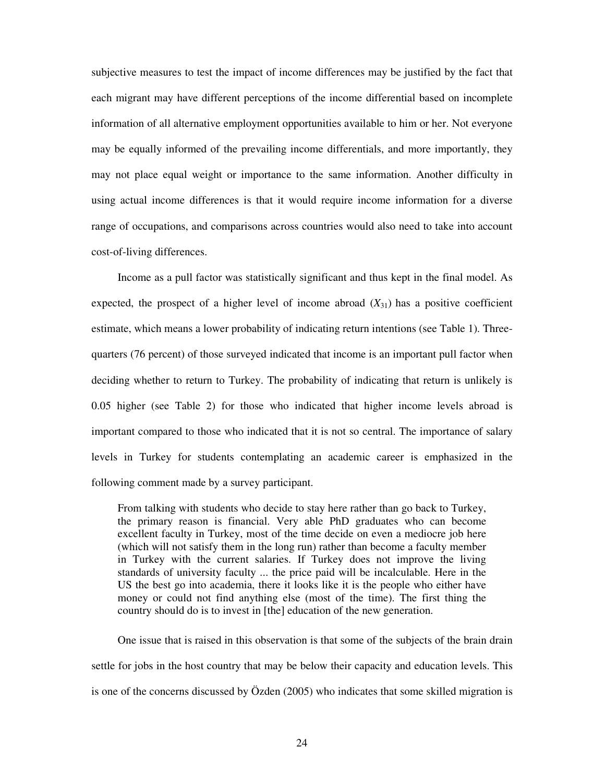subjective measures to test the impact of income differences may be justified by the fact that each migrant may have different perceptions of the income differential based on incomplete information of all alternative employment opportunities available to him or her. Not everyone may be equally informed of the prevailing income differentials, and more importantly, they may not place equal weight or importance to the same information. Another difficulty in using actual income differences is that it would require income information for a diverse range of occupations, and comparisons across countries would also need to take into account cost-of-living differences.

Income as a pull factor was statistically significant and thus kept in the final model. As expected, the prospect of a higher level of income abroad  $(X_{31})$  has a positive coefficient estimate, which means a lower probability of indicating return intentions (see Table 1). Threequarters (76 percent) of those surveyed indicated that income is an important pull factor when deciding whether to return to Turkey. The probability of indicating that return is unlikely is 0.05 higher (see Table 2) for those who indicated that higher income levels abroad is important compared to those who indicated that it is not so central. The importance of salary levels in Turkey for students contemplating an academic career is emphasized in the following comment made by a survey participant.

From talking with students who decide to stay here rather than go back to Turkey, the primary reason is financial. Very able PhD graduates who can become excellent faculty in Turkey, most of the time decide on even a mediocre job here (which will not satisfy them in the long run) rather than become a faculty member in Turkey with the current salaries. If Turkey does not improve the living standards of university faculty ... the price paid will be incalculable. Here in the US the best go into academia, there it looks like it is the people who either have money or could not find anything else (most of the time). The first thing the country should do is to invest in [the] education of the new generation.

One issue that is raised in this observation is that some of the subjects of the brain drain settle for jobs in the host country that may be below their capacity and education levels. This is one of the concerns discussed by Özden (2005) who indicates that some skilled migration is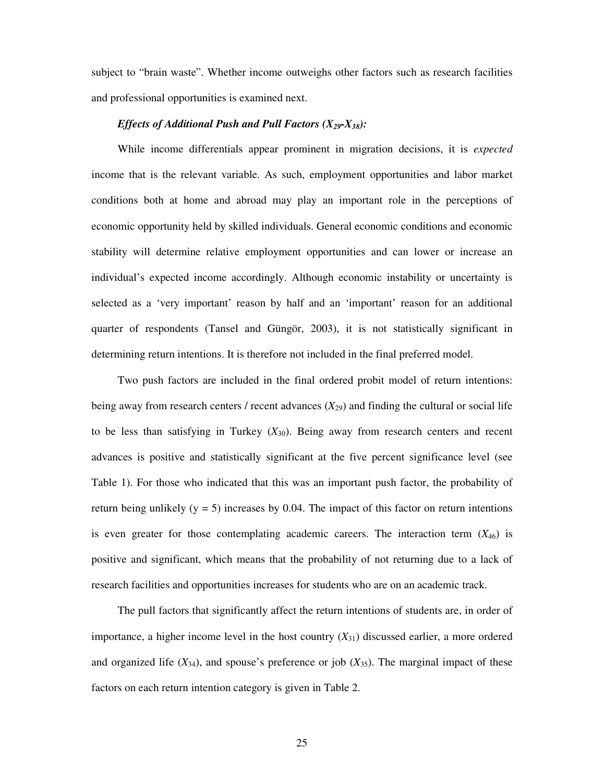subject to "brain waste". Whether income outweighs other factors such as research facilities and professional opportunities is examined next.

#### *Effects of Additional Push and Pull Factors (X29-X38):*

While income differentials appear prominent in migration decisions, it is *expected*  income that is the relevant variable. As such, employment opportunities and labor market conditions both at home and abroad may play an important role in the perceptions of economic opportunity held by skilled individuals. General economic conditions and economic stability will determine relative employment opportunities and can lower or increase an individual's expected income accordingly. Although economic instability or uncertainty is selected as a 'very important' reason by half and an 'important' reason for an additional quarter of respondents (Tansel and Güngör, 2003), it is not statistically significant in determining return intentions. It is therefore not included in the final preferred model.

Two push factors are included in the final ordered probit model of return intentions: being away from research centers / recent advances  $(X_{29})$  and finding the cultural or social life to be less than satisfying in Turkey  $(X_{30})$ . Being away from research centers and recent advances is positive and statistically significant at the five percent significance level (see Table 1). For those who indicated that this was an important push factor, the probability of return being unlikely  $(y = 5)$  increases by 0.04. The impact of this factor on return intentions is even greater for those contemplating academic careers. The interaction term (*X*46) is positive and significant, which means that the probability of not returning due to a lack of research facilities and opportunities increases for students who are on an academic track.

The pull factors that significantly affect the return intentions of students are, in order of importance, a higher income level in the host country  $(X_{31})$  discussed earlier, a more ordered and organized life  $(X_{34})$ , and spouse's preference or job  $(X_{35})$ . The marginal impact of these factors on each return intention category is given in Table 2.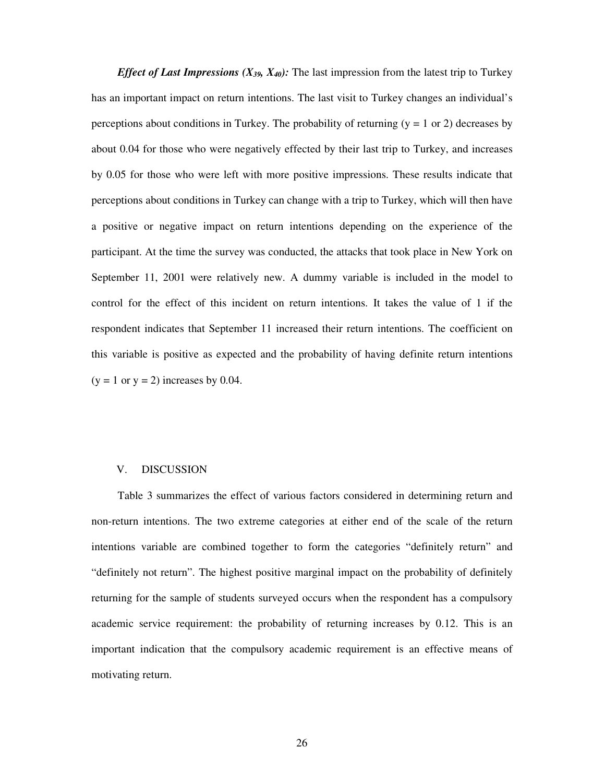*Effect of Last Impressions*  $(X_{39}, X_{40})$ : The last impression from the latest trip to Turkey has an important impact on return intentions. The last visit to Turkey changes an individual's perceptions about conditions in Turkey. The probability of returning  $(y = 1 \text{ or } 2)$  decreases by about 0.04 for those who were negatively effected by their last trip to Turkey, and increases by 0.05 for those who were left with more positive impressions. These results indicate that perceptions about conditions in Turkey can change with a trip to Turkey, which will then have a positive or negative impact on return intentions depending on the experience of the participant. At the time the survey was conducted, the attacks that took place in New York on September 11, 2001 were relatively new. A dummy variable is included in the model to control for the effect of this incident on return intentions. It takes the value of 1 if the respondent indicates that September 11 increased their return intentions. The coefficient on this variable is positive as expected and the probability of having definite return intentions  $(y = 1 \text{ or } y = 2)$  increases by 0.04.

#### V. DISCUSSION

Table 3 summarizes the effect of various factors considered in determining return and non-return intentions. The two extreme categories at either end of the scale of the return intentions variable are combined together to form the categories "definitely return" and "definitely not return". The highest positive marginal impact on the probability of definitely returning for the sample of students surveyed occurs when the respondent has a compulsory academic service requirement: the probability of returning increases by 0.12. This is an important indication that the compulsory academic requirement is an effective means of motivating return.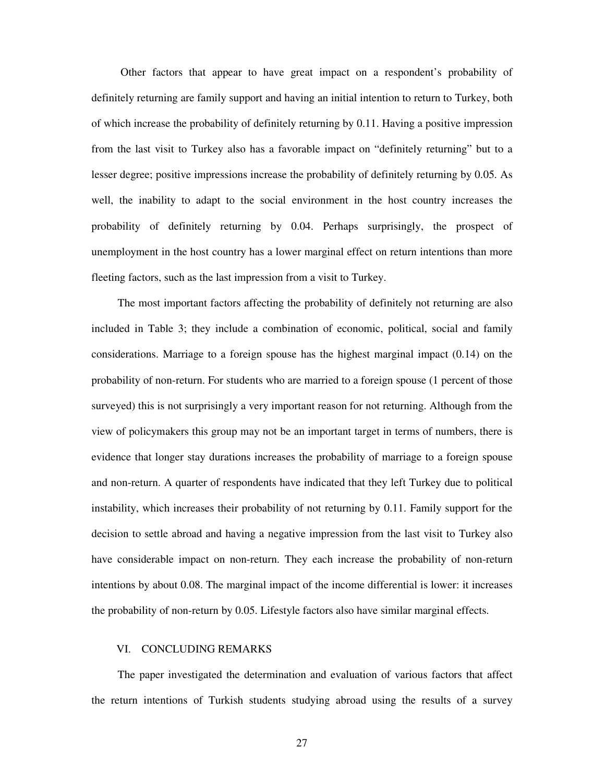Other factors that appear to have great impact on a respondent's probability of definitely returning are family support and having an initial intention to return to Turkey, both of which increase the probability of definitely returning by 0.11. Having a positive impression from the last visit to Turkey also has a favorable impact on "definitely returning" but to a lesser degree; positive impressions increase the probability of definitely returning by 0.05. As well, the inability to adapt to the social environment in the host country increases the probability of definitely returning by 0.04. Perhaps surprisingly, the prospect of unemployment in the host country has a lower marginal effect on return intentions than more fleeting factors, such as the last impression from a visit to Turkey.

The most important factors affecting the probability of definitely not returning are also included in Table 3; they include a combination of economic, political, social and family considerations. Marriage to a foreign spouse has the highest marginal impact (0.14) on the probability of non-return. For students who are married to a foreign spouse (1 percent of those surveyed) this is not surprisingly a very important reason for not returning. Although from the view of policymakers this group may not be an important target in terms of numbers, there is evidence that longer stay durations increases the probability of marriage to a foreign spouse and non-return. A quarter of respondents have indicated that they left Turkey due to political instability, which increases their probability of not returning by 0.11. Family support for the decision to settle abroad and having a negative impression from the last visit to Turkey also have considerable impact on non-return. They each increase the probability of non-return intentions by about 0.08. The marginal impact of the income differential is lower: it increases the probability of non-return by 0.05. Lifestyle factors also have similar marginal effects.

#### VI. CONCLUDING REMARKS

The paper investigated the determination and evaluation of various factors that affect the return intentions of Turkish students studying abroad using the results of a survey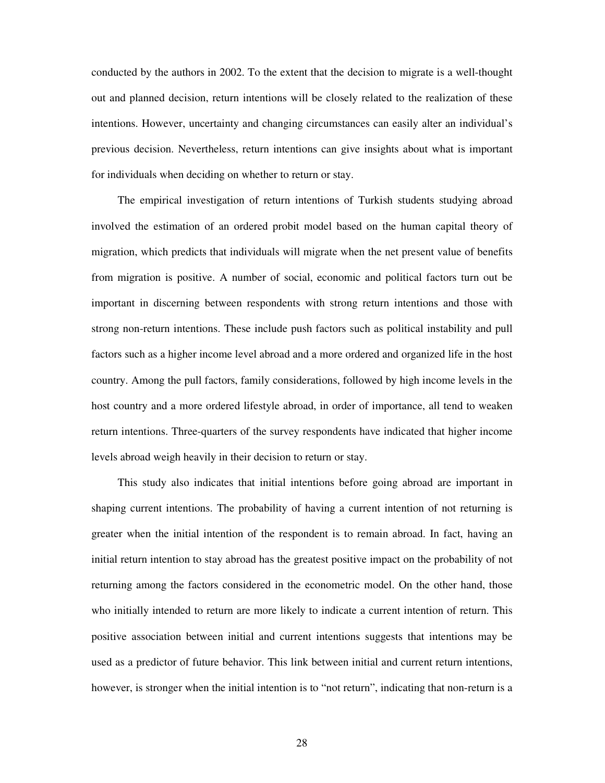conducted by the authors in 2002. To the extent that the decision to migrate is a well-thought out and planned decision, return intentions will be closely related to the realization of these intentions. However, uncertainty and changing circumstances can easily alter an individual's previous decision. Nevertheless, return intentions can give insights about what is important for individuals when deciding on whether to return or stay.

The empirical investigation of return intentions of Turkish students studying abroad involved the estimation of an ordered probit model based on the human capital theory of migration, which predicts that individuals will migrate when the net present value of benefits from migration is positive. A number of social, economic and political factors turn out be important in discerning between respondents with strong return intentions and those with strong non-return intentions. These include push factors such as political instability and pull factors such as a higher income level abroad and a more ordered and organized life in the host country. Among the pull factors, family considerations, followed by high income levels in the host country and a more ordered lifestyle abroad, in order of importance, all tend to weaken return intentions. Three-quarters of the survey respondents have indicated that higher income levels abroad weigh heavily in their decision to return or stay.

This study also indicates that initial intentions before going abroad are important in shaping current intentions. The probability of having a current intention of not returning is greater when the initial intention of the respondent is to remain abroad. In fact, having an initial return intention to stay abroad has the greatest positive impact on the probability of not returning among the factors considered in the econometric model. On the other hand, those who initially intended to return are more likely to indicate a current intention of return. This positive association between initial and current intentions suggests that intentions may be used as a predictor of future behavior. This link between initial and current return intentions, however, is stronger when the initial intention is to "not return", indicating that non-return is a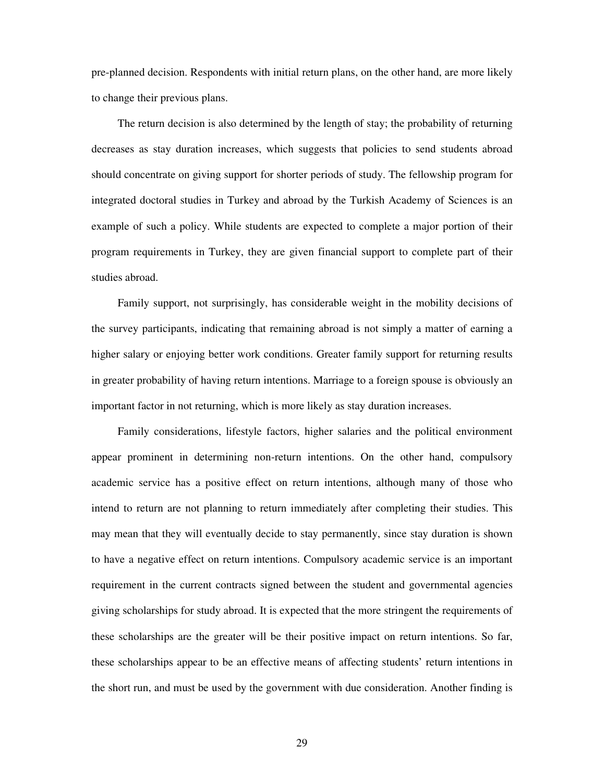pre-planned decision. Respondents with initial return plans, on the other hand, are more likely to change their previous plans.

The return decision is also determined by the length of stay; the probability of returning decreases as stay duration increases, which suggests that policies to send students abroad should concentrate on giving support for shorter periods of study. The fellowship program for integrated doctoral studies in Turkey and abroad by the Turkish Academy of Sciences is an example of such a policy. While students are expected to complete a major portion of their program requirements in Turkey, they are given financial support to complete part of their studies abroad.

Family support, not surprisingly, has considerable weight in the mobility decisions of the survey participants, indicating that remaining abroad is not simply a matter of earning a higher salary or enjoying better work conditions. Greater family support for returning results in greater probability of having return intentions. Marriage to a foreign spouse is obviously an important factor in not returning, which is more likely as stay duration increases.

Family considerations, lifestyle factors, higher salaries and the political environment appear prominent in determining non-return intentions. On the other hand, compulsory academic service has a positive effect on return intentions, although many of those who intend to return are not planning to return immediately after completing their studies. This may mean that they will eventually decide to stay permanently, since stay duration is shown to have a negative effect on return intentions. Compulsory academic service is an important requirement in the current contracts signed between the student and governmental agencies giving scholarships for study abroad. It is expected that the more stringent the requirements of these scholarships are the greater will be their positive impact on return intentions. So far, these scholarships appear to be an effective means of affecting students' return intentions in the short run, and must be used by the government with due consideration. Another finding is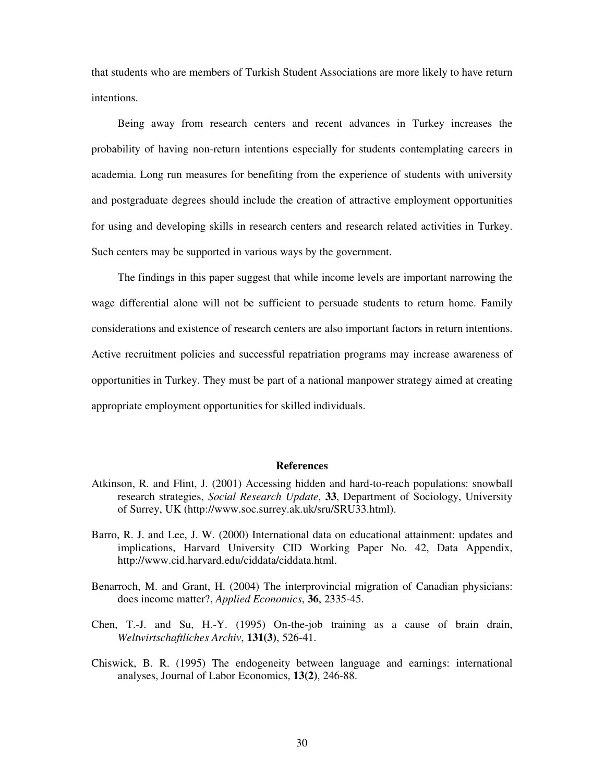that students who are members of Turkish Student Associations are more likely to have return intentions.

Being away from research centers and recent advances in Turkey increases the probability of having non-return intentions especially for students contemplating careers in academia. Long run measures for benefiting from the experience of students with university and postgraduate degrees should include the creation of attractive employment opportunities for using and developing skills in research centers and research related activities in Turkey. Such centers may be supported in various ways by the government.

The findings in this paper suggest that while income levels are important narrowing the wage differential alone will not be sufficient to persuade students to return home. Family considerations and existence of research centers are also important factors in return intentions. Active recruitment policies and successful repatriation programs may increase awareness of opportunities in Turkey. They must be part of a national manpower strategy aimed at creating appropriate employment opportunities for skilled individuals.

#### **References**

- Atkinson, R. and Flint, J. (2001) Accessing hidden and hard-to-reach populations: snowball research strategies, *Social Research Update*, **33**, Department of Sociology, University of Surrey, UK (http://www.soc.surrey.ak.uk/sru/SRU33.html).
- Barro, R. J. and Lee, J. W. (2000) International data on educational attainment: updates and implications, Harvard University CID Working Paper No. 42, Data Appendix, http://www.cid.harvard.edu/ciddata/ciddata.html.
- Benarroch, M. and Grant, H. (2004) The interprovincial migration of Canadian physicians: does income matter?, *Applied Economics*, **36**, 2335-45.
- Chen, T.-J. and Su, H.-Y. (1995) On-the-job training as a cause of brain drain, *Weltwirtschaftliches Archiv*, **131(3)**, 526-41.
- Chiswick, B. R. (1995) The endogeneity between language and earnings: international analyses, Journal of Labor Economics, **13(2)**, 246-88.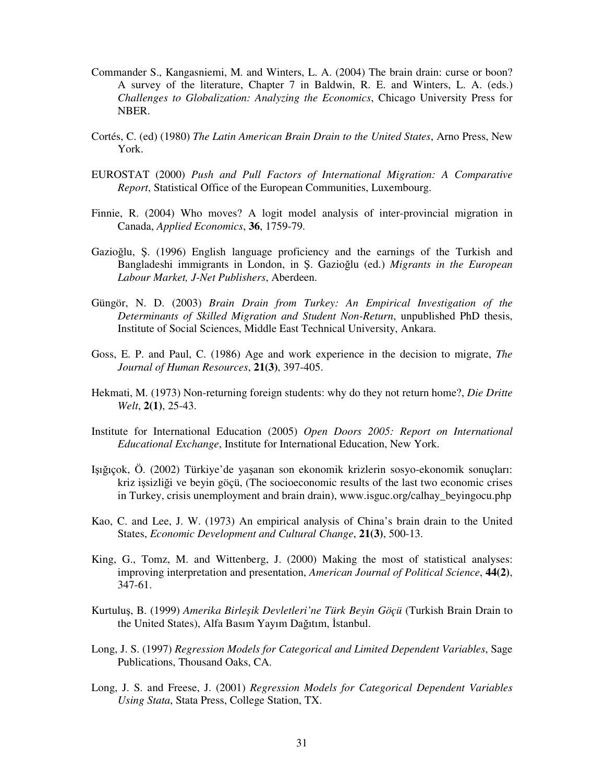- Commander S., Kangasniemi, M. and Winters, L. A. (2004) The brain drain: curse or boon? A survey of the literature, Chapter 7 in Baldwin, R. E. and Winters, L. A. (eds.) *Challenges to Globalization: Analyzing the Economics*, Chicago University Press for NBER.
- Cortés, C. (ed) (1980) *The Latin American Brain Drain to the United States*, Arno Press, New York.
- EUROSTAT (2000) *Push and Pull Factors of International Migration: A Comparative Report*, Statistical Office of the European Communities, Luxembourg.
- Finnie, R. (2004) Who moves? A logit model analysis of inter-provincial migration in Canada, *Applied Economics*, **36**, 1759-79.
- Gazioğlu, Ş. (1996) English language proficiency and the earnings of the Turkish and Bangladeshi immigrants in London, in Ş. Gazioğlu (ed.) *Migrants in the European Labour Market, J-Net Publishers*, Aberdeen.
- Güngör, N. D. (2003) *Brain Drain from Turkey: An Empirical Investigation of the Determinants of Skilled Migration and Student Non-Return*, unpublished PhD thesis, Institute of Social Sciences, Middle East Technical University, Ankara.
- Goss, E. P. and Paul, C. (1986) Age and work experience in the decision to migrate, *The Journal of Human Resources*, **21(3)**, 397-405.
- Hekmati, M. (1973) Non-returning foreign students: why do they not return home?, *Die Dritte Welt*, **2(1)**, 25-43.
- Institute for International Education (2005) *Open Doors 2005: Report on International Educational Exchange*, Institute for International Education, New York.
- Işığıçok, Ö. (2002) Türkiye'de yaşanan son ekonomik krizlerin sosyo-ekonomik sonuçları: kriz işsizliği ve beyin göçü, (The socioeconomic results of the last two economic crises in Turkey, crisis unemployment and brain drain), www.isguc.org/calhay\_beyingocu.php
- Kao, C. and Lee, J. W. (1973) An empirical analysis of China's brain drain to the United States, *Economic Development and Cultural Change*, **21(3)**, 500-13.
- King, G., Tomz, M. and Wittenberg, J. (2000) Making the most of statistical analyses: improving interpretation and presentation, *American Journal of Political Science*, **44(2)**, 347-61.
- Kurtuluş, B. (1999) *Amerika Birle*ş*ik Devletleri'ne Türk Beyin Göçü* (Turkish Brain Drain to the United States), Alfa Basım Yayım Dağıtım, İstanbul.
- Long, J. S. (1997) *Regression Models for Categorical and Limited Dependent Variables*, Sage Publications, Thousand Oaks, CA.
- Long, J. S. and Freese, J. (2001) *Regression Models for Categorical Dependent Variables Using Stata*, Stata Press, College Station, TX.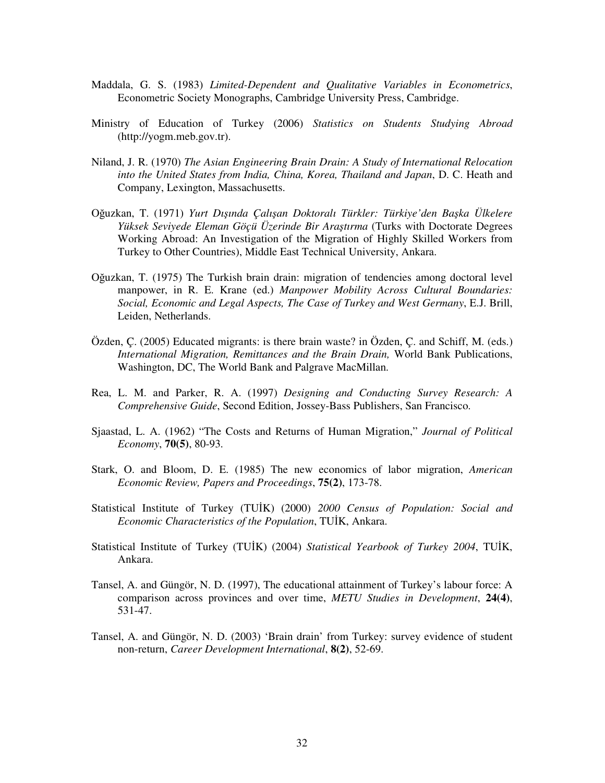- Maddala, G. S. (1983) *Limited-Dependent and Qualitative Variables in Econometrics*, Econometric Society Monographs, Cambridge University Press, Cambridge.
- Ministry of Education of Turkey (2006) *Statistics on Students Studying Abroad* (http://yogm.meb.gov.tr).
- Niland, J. R. (1970) *The Asian Engineering Brain Drain: A Study of International Relocation into the United States from India, China, Korea, Thailand and Japan*, D. C. Heath and Company, Lexington, Massachusetts.
- Oğuzkan, T. (1971) *Yurt Dı*ş*ında Çalı*ş*an Doktoralı Türkler: Türkiye'den Ba*ş*ka Ülkelere Yüksek Seviyede Eleman Göçü Üzerinde Bir Ara*ş*tırma* (Turks with Doctorate Degrees Working Abroad: An Investigation of the Migration of Highly Skilled Workers from Turkey to Other Countries), Middle East Technical University, Ankara.
- Oğuzkan, T. (1975) The Turkish brain drain: migration of tendencies among doctoral level manpower, in R. E. Krane (ed.) *Manpower Mobility Across Cultural Boundaries: Social, Economic and Legal Aspects, The Case of Turkey and West Germany*, E.J. Brill, Leiden, Netherlands.
- Özden, Ç. (2005) Educated migrants: is there brain waste? in Özden, Ç. and Schiff, M. (eds.) *International Migration, Remittances and the Brain Drain,* World Bank Publications, Washington, DC, The World Bank and Palgrave MacMillan.
- Rea, L. M. and Parker, R. A. (1997) *Designing and Conducting Survey Research: A Comprehensive Guide*, Second Edition, Jossey-Bass Publishers, San Francisco.
- Sjaastad, L. A. (1962) "The Costs and Returns of Human Migration," *Journal of Political Economy*, **70(5)**, 80-93.
- Stark, O. and Bloom, D. E. (1985) The new economics of labor migration, *American Economic Review, Papers and Proceedings*, **75(2)**, 173-78.
- Statistical Institute of Turkey (TUİK) (2000) *2000 Census of Population: Social and Economic Characteristics of the Population*, TUİK, Ankara.
- Statistical Institute of Turkey (TUİK) (2004) *Statistical Yearbook of Turkey 2004*, TUİK, Ankara.
- Tansel, A. and Güngör, N. D. (1997), The educational attainment of Turkey's labour force: A comparison across provinces and over time, *METU Studies in Development*, **24(4)**, 531-47.
- Tansel, A. and Güngör, N. D. (2003) 'Brain drain' from Turkey: survey evidence of student non-return, *Career Development International*, **8(2)**, 52-69.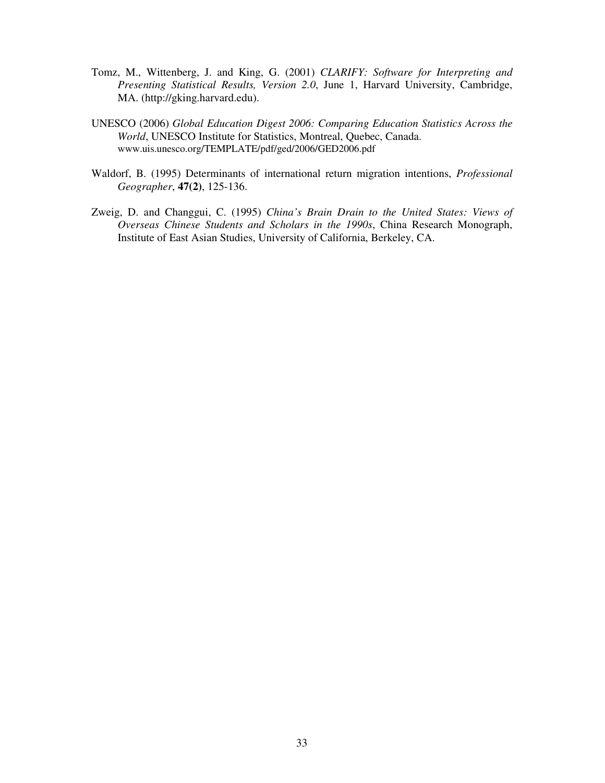- Tomz, M., Wittenberg, J. and King, G. (2001) *CLARIFY: Software for Interpreting and Presenting Statistical Results, Version 2.0*, June 1, Harvard University, Cambridge, MA. (http://gking.harvard.edu).
- UNESCO (2006) *Global Education Digest 2006: Comparing Education Statistics Across the World*, UNESCO Institute for Statistics, Montreal, Quebec, Canada. www.uis.unesco.org/TEMPLATE/pdf/ged/2006/GED2006.pdf
- Waldorf, B. (1995) Determinants of international return migration intentions, *Professional Geographer*, **47(2)**, 125-136.
- Zweig, D. and Changgui, C. (1995) *China's Brain Drain to the United States: Views of Overseas Chinese Students and Scholars in the 1990s*, China Research Monograph, Institute of East Asian Studies, University of California, Berkeley, CA.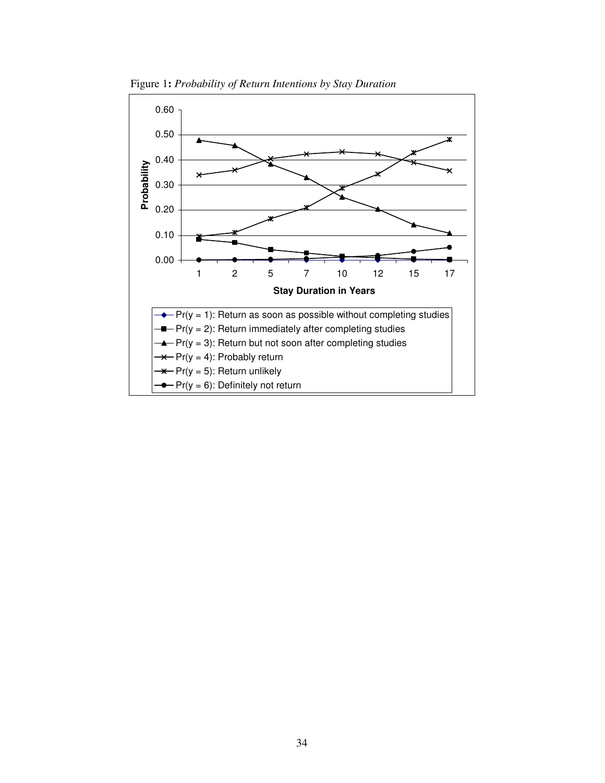

Figure 1**:** *Probability of Return Intentions by Stay Duration*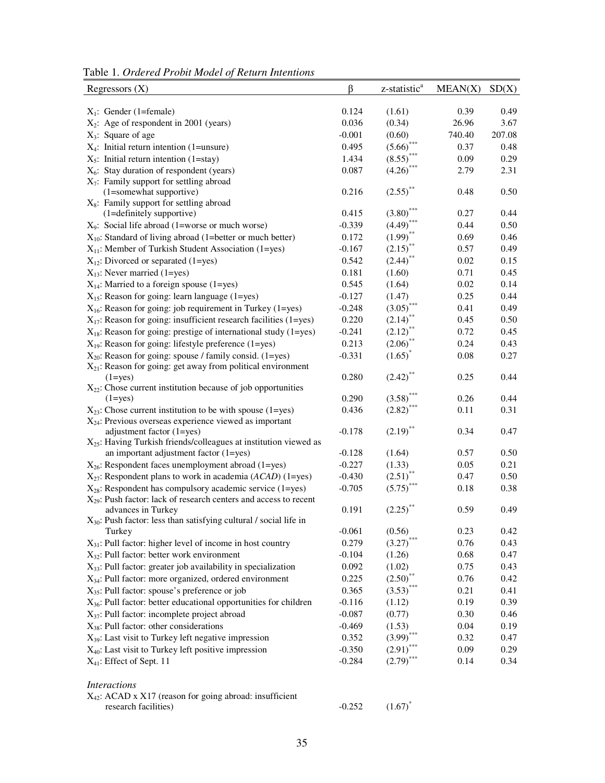|  |  | Table 1. Ordered Probit Model of Return Intentions |
|--|--|----------------------------------------------------|

| Regressors $(X)$                                                                                   | β        | z-statistic <sup>a</sup> | MEAN(X) | SD(X)  |
|----------------------------------------------------------------------------------------------------|----------|--------------------------|---------|--------|
|                                                                                                    |          |                          |         |        |
| $X_1$ : Gender (1=female)                                                                          | 0.124    | (1.61)                   | 0.39    | 0.49   |
| $X_2$ : Age of respondent in 2001 (years)                                                          | 0.036    | (0.34)                   | 26.96   | 3.67   |
| $X_3$ : Square of age                                                                              | $-0.001$ | (0.60)                   | 740.40  | 207.08 |
| $X_4$ : Initial return intention (1=unsure)                                                        | 0.495    | (5.66)                   | 0.37    | 0.48   |
| $X_5$ : Initial return intention (1=stay)                                                          | 1.434    | $(8.55)^{*}$             | 0.09    | 0.29   |
| $X_6$ : Stay duration of respondent (years)                                                        | 0.087    | $(4.26)^*$               | 2.79    | 2.31   |
| $X_7$ : Family support for settling abroad                                                         | 0.216    | $(2.55)$ **              |         | 0.50   |
| (1=somewhat supportive)<br>$X_8$ : Family support for settling abroad                              |          |                          | 0.48    |        |
| (1=definitely supportive)                                                                          | 0.415    | (3.80)                   | 0.27    | 0.44   |
| $X_9$ : Social life abroad (1=worse or much worse)                                                 | $-0.339$ | $(4.49)$ <sup>*</sup>    | 0.44    | 0.50   |
| $X_{10}$ : Standard of living abroad (1=better or much better)                                     | 0.172    | $(1.99)^{*}$             | 0.69    | 0.46   |
| $X_{11}$ : Member of Turkish Student Association (1=yes)                                           | $-0.167$ | $(2.15)$ <sup>**</sup>   | 0.57    | 0.49   |
| $X_{12}$ : Divorced or separated (1=yes)                                                           | 0.542    | (2.44)                   | 0.02    | 0.15   |
| $X_{13}$ : Never married (1=yes)                                                                   | 0.181    | (1.60)                   | 0.71    | 0.45   |
| $X_{14}$ : Married to a foreign spouse (1=yes)                                                     | 0.545    | (1.64)                   | 0.02    | 0.14   |
| $X_{15}$ : Reason for going: learn language (1=yes)                                                | $-0.127$ | (1.47)                   | 0.25    | 0.44   |
| $X_{16}$ : Reason for going: job requirement in Turkey (1=yes)                                     | $-0.248$ | $(3.05)$ ***             | 0.41    | 0.49   |
| $X_{17}$ : Reason for going: insufficient research facilities (1=yes)                              | 0.220    | (2.14)                   | 0.45    | 0.50   |
| $X_{18}$ : Reason for going: prestige of international study (1=yes)                               | $-0.241$ | $(2.12)$ <sup>**</sup>   | 0.72    | 0.45   |
| $X_{19}$ : Reason for going: lifestyle preference (1=yes)                                          | 0.213    | (2.06)                   | 0.24    | 0.43   |
| $X_{20}$ : Reason for going: spouse / family consid. (1=yes)                                       | $-0.331$ | $(1.65)^*$               | 0.08    | 0.27   |
| $X_{21}$ : Reason for going: get away from political environment                                   |          |                          |         |        |
| $(1 = yes)$                                                                                        | 0.280    | $(2.42)$ **              | 0.25    | 0.44   |
| $X_{22}$ : Chose current institution because of job opportunities                                  |          |                          |         |        |
| $(1 = yes)$                                                                                        | 0.290    | $(3.58)$ <sup>*</sup>    | 0.26    | 0.44   |
| $X_{23}$ : Chose current institution to be with spouse (1=yes)                                     | 0.436    | $(2.82)^{*}$             | 0.11    | 0.31   |
| $X_{24}$ : Previous overseas experience viewed as important                                        |          |                          |         |        |
| adjustment factor (1=yes)<br>$X_{25}$ : Having Turkish friends/colleagues at institution viewed as | $-0.178$ | $(2.19)$ **              | 0.34    | 0.47   |
| an important adjustment factor (1=yes)                                                             | $-0.128$ | (1.64)                   | 0.57    | 0.50   |
| $X_{26}$ : Respondent faces unemployment abroad (1=yes)                                            | $-0.227$ | (1.33)                   | 0.05    | 0.21   |
| $X_{27}$ : Respondent plans to work in academia (ACAD) (1=yes)                                     | $-0.430$ | $(2.51)$ **              | 0.47    | 0.50   |
| $X_{28}$ : Respondent has compulsory academic service (1=yes)                                      | $-0.705$ | $(5.75)$ ***             | 0.18    | 0.38   |
| $X_{29}$ : Push factor: lack of research centers and access to recent                              |          |                          |         |        |
| advances in Turkey                                                                                 | 0.191    | (2.25)                   | 0.59    | 0.49   |
| $X_{30}$ : Push factor: less than satisfying cultural / social life in                             |          |                          |         |        |
| Turkey                                                                                             | $-0.061$ | (0.56)                   | 0.23    | 0.42   |
| $X_{31}$ : Pull factor: higher level of income in host country                                     | 0.279    | (3.27)                   | 0.76    | 0.43   |
| $X_{32}$ : Pull factor: better work environment                                                    | $-0.104$ | (1.26)                   | 0.68    | 0.47   |
| $X_{33}$ : Pull factor: greater job availability in specialization                                 | 0.092    | (1.02)                   | 0.75    | 0.43   |
| $X_{34}$ : Pull factor: more organized, ordered environment                                        | 0.225    | $(2.50)$ **              | 0.76    | 0.42   |
| $X_{35}$ : Pull factor: spouse's preference or job                                                 | 0.365    | $(3.53)^{^{\circ}}$      | 0.21    | 0.41   |
| $X_{36}$ : Pull factor: better educational opportunities for children                              | $-0.116$ | (1.12)                   | 0.19    | 0.39   |
| X <sub>37</sub> : Pull factor: incomplete project abroad                                           | $-0.087$ | (0.77)                   | 0.30    | 0.46   |
| $X_{38}$ : Pull factor: other considerations                                                       | $-0.469$ | (1.53)                   | 0.04    | 0.19   |
| $X_{39}$ : Last visit to Turkey left negative impression                                           | 0.352    | $(3.99)^{^{\circ}}$      | 0.32    | 0.47   |
| $X_{40}$ : Last visit to Turkey left positive impression                                           | $-0.350$ | $(2.91)^{*}$             | 0.09    | 0.29   |
| $X_{41}$ : Effect of Sept. 11                                                                      | $-0.284$ | $(2.79)$ ***             | 0.14    | 0.34   |
|                                                                                                    |          |                          |         |        |
| <i>Interactions</i>                                                                                |          |                          |         |        |
| $X_{42}$ : ACAD x X17 (reason for going abroad: insufficient                                       |          |                          |         |        |
| research facilities)                                                                               | $-0.252$ | $(1.67)^*$               |         |        |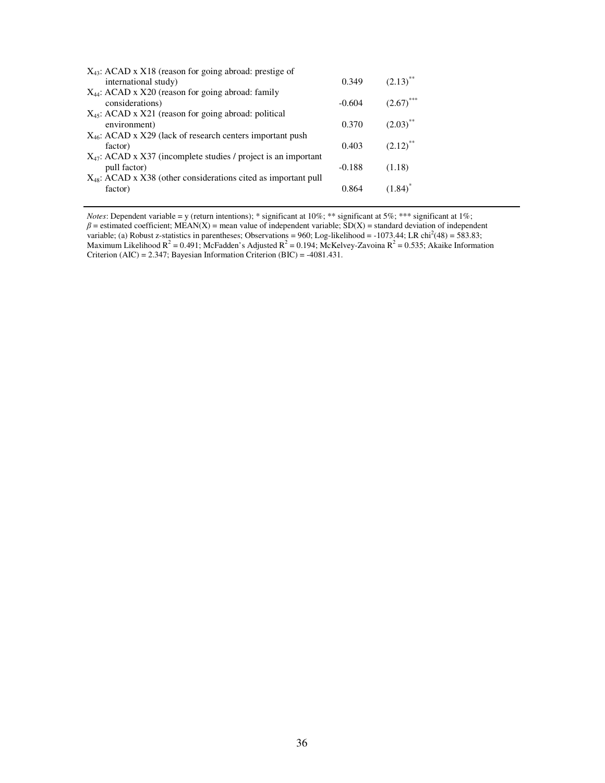| $X_{43}$ : ACAD x X18 (reason for going abroad: prestige of<br>international study) | 0.349    | $(2.13)$ <sup>**</sup> |
|-------------------------------------------------------------------------------------|----------|------------------------|
| $X_{44}$ : ACAD x X20 (reason for going abroad: family<br>considerations)           | $-0.604$ | $(2.67)$ ***           |
| $X_{45}$ : ACAD x X21 (reason for going abroad: political<br>environment)           | 0.370    | $(2.03)$ **            |
| $X_{46}$ : ACAD x X29 (lack of research centers important push)<br>factor)          | 0.403    | $(2.12)$ <sup>**</sup> |
| $X_{47}$ : ACAD x X37 (incomplete studies / project is an important<br>pull factor) | $-0.188$ | (1.18)                 |
| $X_{48}$ : ACAD x X38 (other considerations cited as important pull<br>factor)      | 0.864    | $(1.84)$ <sup>*</sup>  |

*Notes*: Dependent variable = y (return intentions); \* significant at 10%; \*\*\* significant at 5%; \*\*\* significant at 1%;  $\beta$  = estimated coefficient; MEAN(X) = mean value of independent variable; SD(X) = standard deviation of independent variable; (a) Robust z-statistics in parentheses; Observations =  $960$ ; Log-likelihood =  $-1073.44$ ; LR chi<sup>2</sup>(48) = 583.83; Maximum Likelihood  $R^2 = 0.491$ ; McFadden's Adjusted  $R^2 = 0.194$ ; McKelvey-Zavoina  $R^2 = 0.535$ ; Akaike Information Criterion (AIC) = 2.347; Bayesian Information Criterion (BIC) = -4081.431.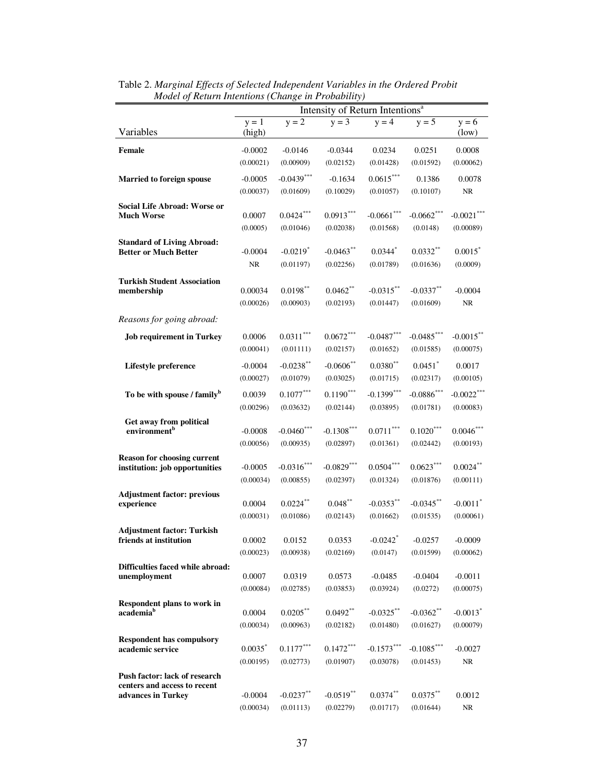|                                                               | <i>model of Ketarn Intentions</i> (Change in Fro <i>odottity</i> )<br>Intensity of Return Intentions <sup>a</sup> |                        |              |                        |               |                        |
|---------------------------------------------------------------|-------------------------------------------------------------------------------------------------------------------|------------------------|--------------|------------------------|---------------|------------------------|
|                                                               | $y = 1$                                                                                                           | $y = 2$                | $y = 3$      | $y = 4$                | $y = 5$       | $y = 6$                |
| Variables                                                     | (high)                                                                                                            |                        |              |                        |               | (low)                  |
| Female                                                        | $-0.0002$                                                                                                         | $-0.0146$              | $-0.0344$    | 0.0234                 | 0.0251        | 0.0008                 |
|                                                               | (0.00021)                                                                                                         | (0.00909)              | (0.02152)    | (0.01428)              | (0.01592)     | (0.00062)              |
|                                                               |                                                                                                                   |                        |              |                        |               |                        |
| <b>Married to foreign spouse</b>                              | $-0.0005$                                                                                                         | $-0.0439***$           | $-0.1634$    | $0.0615***$            | 0.1386        | 0.0078                 |
|                                                               | (0.00037)                                                                                                         | (0.01609)              | (0.10029)    | (0.01057)              | (0.10107)     | <b>NR</b>              |
| <b>Social Life Abroad: Worse or</b><br><b>Much Worse</b>      | 0.0007                                                                                                            | $0.0424***$            | $0.0913***$  | $-0.0661***$           | $-0.0662***$  | $-0.0021***$           |
|                                                               | (0.0005)                                                                                                          | (0.01046)              | (0.02038)    | (0.01568)              | (0.0148)      | (0.00089)              |
| <b>Standard of Living Abroad:</b>                             |                                                                                                                   |                        |              |                        |               |                        |
| <b>Better or Much Better</b>                                  | $-0.0004$                                                                                                         | $-0.0219$ <sup>*</sup> | $-0.0463**$  | $0.0344*$              | $0.0332**$    | $0.0015$ *             |
|                                                               | <b>NR</b>                                                                                                         | (0.01197)              | (0.02256)    | (0.01789)              | (0.01636)     | (0.0009)               |
| <b>Turkish Student Association</b>                            |                                                                                                                   |                        |              |                        |               |                        |
| membership                                                    | 0.00034                                                                                                           | $0.0198**$             | $0.0462**$   | $-0.0315***$           | $-0.0337***$  | $-0.0004$              |
|                                                               | (0.00026)                                                                                                         | (0.00903)              | (0.02193)    | (0.01447)              | (0.01609)     | <b>NR</b>              |
| Reasons for going abroad:                                     |                                                                                                                   |                        |              |                        |               |                        |
|                                                               |                                                                                                                   |                        |              |                        |               |                        |
| <b>Job requirement in Turkey</b>                              | 0.0006                                                                                                            | $0.0311***$            | $0.0672***$  | $-0.0487***$           | $-0.0485***$  | $-0.0015***$           |
|                                                               | (0.00041)                                                                                                         | (0.01111)              | (0.02157)    | (0.01652)              | (0.01585)     | (0.00075)              |
| <b>Lifestyle preference</b>                                   | $-0.0004$                                                                                                         | $-0.0238***$           | $-0.0606$ ** | $0.0380**$             | $0.0451$ *    | 0.0017                 |
|                                                               | (0.00027)                                                                                                         | (0.01079)              | (0.03025)    | (0.01715)              | (0.02317)     | (0.00105)              |
| To be with spouse / family <sup>b</sup>                       | 0.0039                                                                                                            | $0.1077***$            | $0.1190***$  | $-0.1399***$           | $-0.0886$ *** | $-0.0022***$           |
|                                                               | (0.00296)                                                                                                         | (0.03632)              | (0.02144)    | (0.03895)              | (0.01781)     | (0.00083)              |
| Get away from political                                       |                                                                                                                   |                        |              |                        |               |                        |
| environment <sup>b</sup>                                      | $-0.0008$                                                                                                         | $-0.0460$ ***          | $-0.1308***$ | $0.0711***$            | $0.1020***$   | $0.0046***$            |
|                                                               | (0.00056)                                                                                                         | (0.00935)              | (0.02897)    | (0.01361)              | (0.02442)     | (0.00193)              |
| <b>Reason for choosing current</b>                            |                                                                                                                   |                        |              |                        |               |                        |
| institution: job opportunities                                | $-0.0005$                                                                                                         | $-0.0316***$           | $-0.0829***$ | $0.0504***$            | $0.0623***$   | $0.0024***$            |
|                                                               | (0.00034)                                                                                                         | (0.00855)              | (0.02397)    | (0.01324)              | (0.01876)     | (0.00111)              |
| <b>Adjustment factor: previous</b><br>experience              | 0.0004                                                                                                            | $0.0224***$            | $0.048***$   | $-0.0353**$            | $-0.0345***$  | $-0.0011$ <sup>*</sup> |
|                                                               | (0.00031)                                                                                                         | (0.01086)              | (0.02143)    | (0.01662)              | (0.01535)     | (0.00061)              |
|                                                               |                                                                                                                   |                        |              |                        |               |                        |
| <b>Adjustment factor: Turkish</b><br>friends at institution   | 0.0002                                                                                                            | 0.0152                 | 0.0353       | $-0.0242$ <sup>*</sup> | $-0.0257$     | $-0.0009$              |
|                                                               | (0.00023)                                                                                                         | (0.00938)              | (0.02169)    | (0.0147)               | (0.01599)     | (0.00062)              |
| Difficulties faced while abroad:                              |                                                                                                                   |                        |              |                        |               |                        |
| unemployment                                                  | 0.0007                                                                                                            | 0.0319                 | 0.0573       | $-0.0485$              | $-0.0404$     | $-0.0011$              |
|                                                               | (0.00084)                                                                                                         | (0.02785)              | (0.03853)    | (0.03924)              | (0.0272)      | (0.00075)              |
| Respondent plans to work in                                   |                                                                                                                   |                        |              |                        |               |                        |
| academia <sup>b</sup>                                         | 0.0004                                                                                                            | $0.0205***$            | $0.0492**$   | $-0.0325***$           | $-0.0362**$   | $-0.0013$ <sup>*</sup> |
|                                                               | (0.00034)                                                                                                         | (0.00963)              | (0.02182)    | (0.01480)              | (0.01627)     | (0.00079)              |
| <b>Respondent has compulsory</b>                              |                                                                                                                   |                        |              |                        |               |                        |
| academic service                                              | $0.0035*$                                                                                                         | $0.1177***$            | $0.1472***$  | $-0.1573***$           | $-0.1085***$  | $-0.0027$              |
|                                                               | (0.00195)                                                                                                         | (0.02773)              | (0.01907)    | (0.03078)              | (0.01453)     | NR                     |
| Push factor: lack of research<br>centers and access to recent |                                                                                                                   |                        |              |                        |               |                        |
| advances in Turkey                                            | $-0.0004$                                                                                                         | $-0.0237**$            | $-0.0519**$  | $0.0374**$             | $0.0375***$   | 0.0012                 |
|                                                               | (0.00034)                                                                                                         | (0.01113)              | (0.02279)    | (0.01717)              | (0.01644)     | NR                     |

Table 2. *Marginal Effects of Selected Independent Variables in the Ordered Probit Model of Return Intentions (Change in Probability)*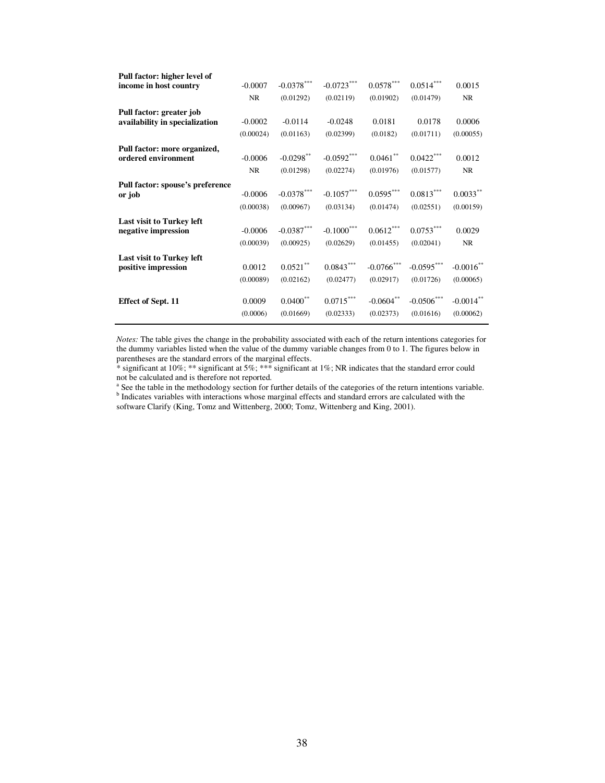| Pull factor: higher level of            |           |              |                         |               |                  |              |
|-----------------------------------------|-----------|--------------|-------------------------|---------------|------------------|--------------|
| income in host country                  | $-0.0007$ | $-0.0378***$ | $-0.0723***$            | $0.0578***$   | $0.0514***$      | 0.0015       |
|                                         | NR        | (0.01292)    | (0.02119)               | (0.01902)     | (0.01479)        | NR           |
| Pull factor: greater job                |           |              |                         |               |                  |              |
| availability in specialization          | $-0.0002$ | $-0.0114$    | $-0.0248$               | 0.0181        | 0.0178           | 0.0006       |
|                                         | (0.00024) | (0.01163)    | (0.02399)               | (0.0182)      | (0.01711)        | (0.00055)    |
| Pull factor: more organized,            |           |              |                         |               |                  |              |
| ordered environment                     | $-0.0006$ | $-0.0298***$ | $-0.0592***$            | $0.0461***$   | $0.0422***$      | 0.0012       |
|                                         | <b>NR</b> | (0.01298)    | (0.02274)               | (0.01976)     | (0.01577)        | <b>NR</b>    |
| <b>Pull factor: spouse's preference</b> |           |              |                         |               |                  |              |
| or job                                  | $-0.0006$ | $-0.0378***$ | $-0.1057***$            | $0.0595***$   | $0.0813^{***}\,$ | $0.0033***$  |
|                                         | (0.00038) | (0.00967)    | (0.03134)               | (0.01474)     | (0.02551)        | (0.00159)    |
| Last visit to Turkey left               |           |              |                         |               |                  |              |
| negative impression                     | $-0.0006$ | $-0.0387***$ | $-0.1000***$            | $0.0612***$   | $0.0753***$      | 0.0029       |
|                                         | (0.00039) | (0.00925)    | (0.02629)               | (0.01455)     | (0.02041)        | NR           |
| <b>Last visit to Turkey left</b>        |           |              |                         |               |                  |              |
| positive impression                     | 0.0012    | $0.0521***$  | $0.0843***$             | $-0.0766$ *** | $-0.0595***$     | $-0.0016$ ** |
|                                         | (0.00089) | (0.02162)    | (0.02477)               | (0.02917)     | (0.01726)        | (0.00065)    |
| <b>Effect of Sept. 11</b>               | 0.0009    | $0.0400**$   | $0.0715^{\ast\ast\ast}$ | $-0.0604**$   | $-0.0506***$     | $-0.0014**$  |
|                                         |           |              |                         |               |                  |              |
|                                         | (0.0006)  | (0.01669)    | (0.02333)               | (0.02373)     | (0.01616)        | (0.00062)    |

*Notes:* The table gives the change in the probability associated with each of the return intentions categories for the dummy variables listed when the value of the dummy variable changes from 0 to 1. The figures below in parentheses are the standard errors of the marginal effects.

\* significant at 10%; \*\* significant at 5%; \*\*\* significant at 1%; NR indicates that the standard error could not be calculated and is therefore not reported.

<sup>a</sup> See the table in the methodology section for further details of the categories of the return intentions variable. <sup>b</sup> Indicates variables with interactions whose marginal effects and standard errors are calculated with the software Clarify (King, Tomz and Wittenberg, 2000; Tomz, Wittenberg and King, 2001).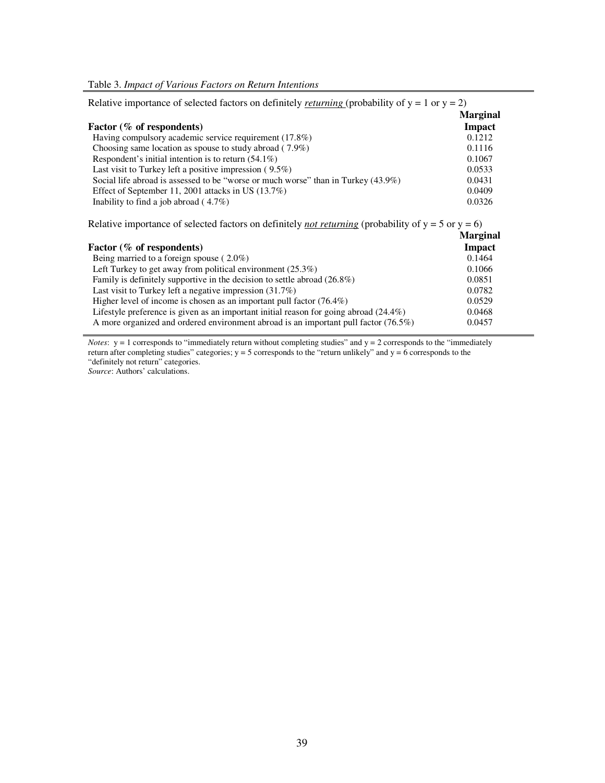| Relative importance of selected factors on definitely <u>returning</u> (probability of $y = 1$ or $y = 2$ ) |                 |  |  |
|-------------------------------------------------------------------------------------------------------------|-----------------|--|--|
|                                                                                                             | <b>Marginal</b> |  |  |
| Factor $(\%$ of respondents)                                                                                | Impact          |  |  |
| Having compulsory academic service requirement (17.8%)                                                      | 0.1212          |  |  |
| Choosing same location as spouse to study abroad (7.9%)                                                     | 0.1116          |  |  |
| Respondent's initial intention is to return $(54.1\%)$                                                      | 0.1067          |  |  |
| Last visit to Turkey left a positive impression $(9.5\%)$                                                   | 0.0533          |  |  |
| Social life abroad is assessed to be "worse or much worse" than in Turkey (43.9%)                           | 0.0431          |  |  |
| Effect of September 11, 2001 attacks in US $(13.7\%)$                                                       | 0.0409          |  |  |
| Inability to find a job abroad $(4.7\%)$                                                                    | 0.0326          |  |  |

Relative importance of selected factors on definitely *not returning* (probability of  $y = 5$  or  $y = 6$ )

|                                                                                          | <b>Marginal</b> |
|------------------------------------------------------------------------------------------|-----------------|
| <b>Factor</b> (% of respondents)                                                         | Impact          |
| Being married to a foreign spouse $(2.0\%)$                                              | 0.1464          |
| Left Turkey to get away from political environment $(25.3\%)$                            | 0.1066          |
| Family is definitely supportive in the decision to settle abroad $(26.8\%)$              | 0.0851          |
| Last visit to Turkey left a negative impression $(31.7\%)$                               | 0.0782          |
| Higher level of income is chosen as an important pull factor $(76.4\%)$                  | 0.0529          |
| Lifestyle preference is given as an important initial reason for going abroad $(24.4\%)$ | 0.0468          |
| A more organized and ordered environment abroad is an important pull factor $(76.5\%)$   | 0.0457          |

*Notes*:  $y = 1$  corresponds to "immediately return without completing studies" and  $y = 2$  corresponds to the "immediately return after completing studies" categories;  $y = 5$  corresponds to the "return unlikely" and  $y = 6$  corresponds to the "definitely not return" categories.

*Source*: Authors' calculations.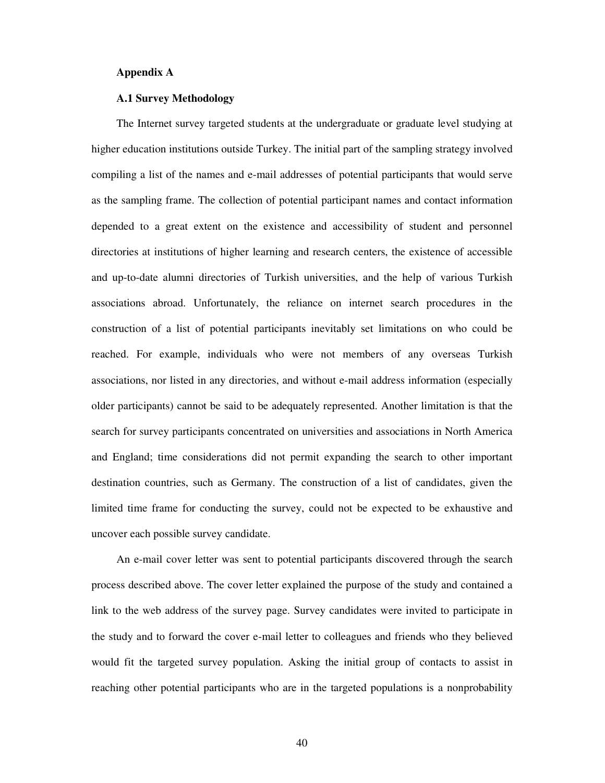#### **Appendix A**

# **A.1 Survey Methodology**

The Internet survey targeted students at the undergraduate or graduate level studying at higher education institutions outside Turkey. The initial part of the sampling strategy involved compiling a list of the names and e-mail addresses of potential participants that would serve as the sampling frame. The collection of potential participant names and contact information depended to a great extent on the existence and accessibility of student and personnel directories at institutions of higher learning and research centers, the existence of accessible and up-to-date alumni directories of Turkish universities, and the help of various Turkish associations abroad. Unfortunately, the reliance on internet search procedures in the construction of a list of potential participants inevitably set limitations on who could be reached. For example, individuals who were not members of any overseas Turkish associations, nor listed in any directories, and without e-mail address information (especially older participants) cannot be said to be adequately represented. Another limitation is that the search for survey participants concentrated on universities and associations in North America and England; time considerations did not permit expanding the search to other important destination countries, such as Germany. The construction of a list of candidates, given the limited time frame for conducting the survey, could not be expected to be exhaustive and uncover each possible survey candidate.

An e-mail cover letter was sent to potential participants discovered through the search process described above. The cover letter explained the purpose of the study and contained a link to the web address of the survey page. Survey candidates were invited to participate in the study and to forward the cover e-mail letter to colleagues and friends who they believed would fit the targeted survey population. Asking the initial group of contacts to assist in reaching other potential participants who are in the targeted populations is a nonprobability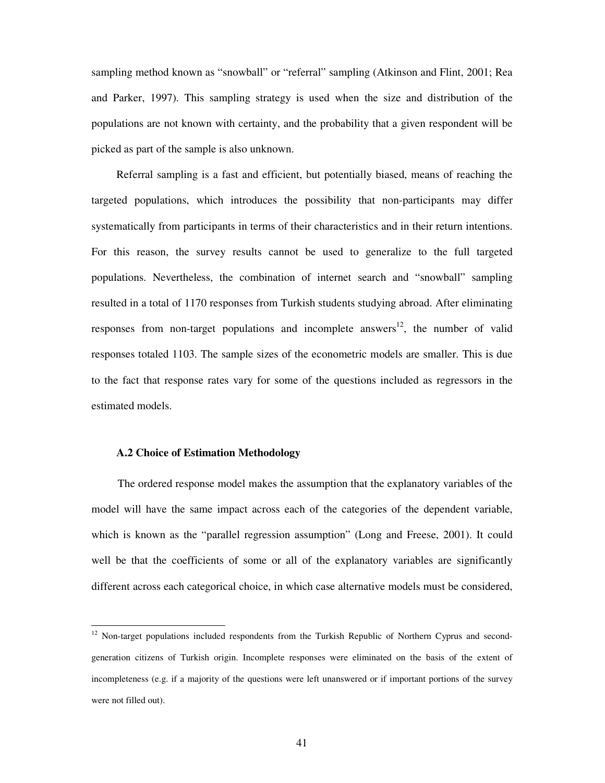sampling method known as "snowball" or "referral" sampling (Atkinson and Flint, 2001; Rea and Parker, 1997). This sampling strategy is used when the size and distribution of the populations are not known with certainty, and the probability that a given respondent will be picked as part of the sample is also unknown.

Referral sampling is a fast and efficient, but potentially biased, means of reaching the targeted populations, which introduces the possibility that non-participants may differ systematically from participants in terms of their characteristics and in their return intentions. For this reason, the survey results cannot be used to generalize to the full targeted populations. Nevertheless, the combination of internet search and "snowball" sampling resulted in a total of 1170 responses from Turkish students studying abroad. After eliminating responses from non-target populations and incomplete answers<sup>12</sup>, the number of valid responses totaled 1103. The sample sizes of the econometric models are smaller. This is due to the fact that response rates vary for some of the questions included as regressors in the estimated models.

#### **A.2 Choice of Estimation Methodology**

 $\overline{a}$ 

The ordered response model makes the assumption that the explanatory variables of the model will have the same impact across each of the categories of the dependent variable, which is known as the "parallel regression assumption" (Long and Freese, 2001). It could well be that the coefficients of some or all of the explanatory variables are significantly different across each categorical choice, in which case alternative models must be considered,

<sup>&</sup>lt;sup>12</sup> Non-target populations included respondents from the Turkish Republic of Northern Cyprus and secondgeneration citizens of Turkish origin. Incomplete responses were eliminated on the basis of the extent of incompleteness (e.g. if a majority of the questions were left unanswered or if important portions of the survey were not filled out).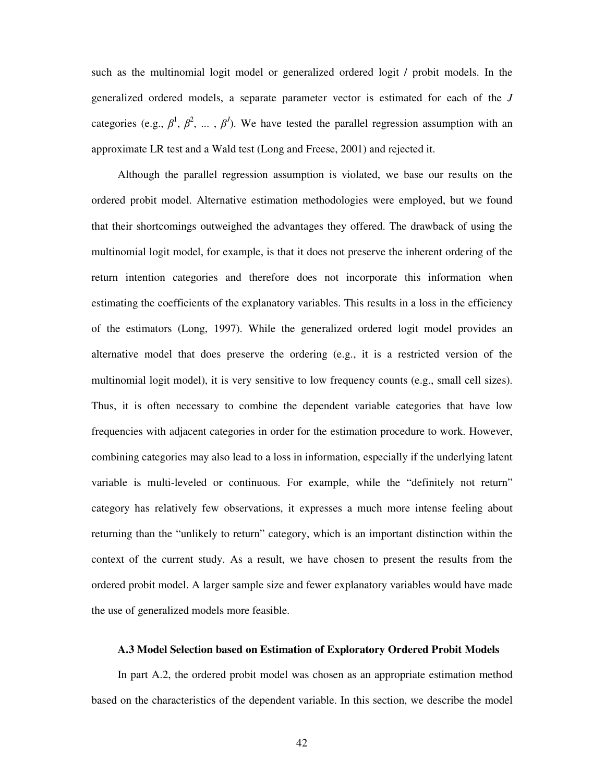such as the multinomial logit model or generalized ordered logit / probit models. In the generalized ordered models, a separate parameter vector is estimated for each of the *J* categories (e.g.,  $\beta^1$ ,  $\beta^2$ , ...,  $\beta^j$ ). We have tested the parallel regression assumption with an approximate LR test and a Wald test (Long and Freese, 2001) and rejected it.

Although the parallel regression assumption is violated, we base our results on the ordered probit model. Alternative estimation methodologies were employed, but we found that their shortcomings outweighed the advantages they offered. The drawback of using the multinomial logit model, for example, is that it does not preserve the inherent ordering of the return intention categories and therefore does not incorporate this information when estimating the coefficients of the explanatory variables. This results in a loss in the efficiency of the estimators (Long, 1997). While the generalized ordered logit model provides an alternative model that does preserve the ordering (e.g., it is a restricted version of the multinomial logit model), it is very sensitive to low frequency counts (e.g., small cell sizes). Thus, it is often necessary to combine the dependent variable categories that have low frequencies with adjacent categories in order for the estimation procedure to work. However, combining categories may also lead to a loss in information, especially if the underlying latent variable is multi-leveled or continuous. For example, while the "definitely not return" category has relatively few observations, it expresses a much more intense feeling about returning than the "unlikely to return" category, which is an important distinction within the context of the current study. As a result, we have chosen to present the results from the ordered probit model. A larger sample size and fewer explanatory variables would have made the use of generalized models more feasible.

#### **A.3 Model Selection based on Estimation of Exploratory Ordered Probit Models**

In part A.2, the ordered probit model was chosen as an appropriate estimation method based on the characteristics of the dependent variable. In this section, we describe the model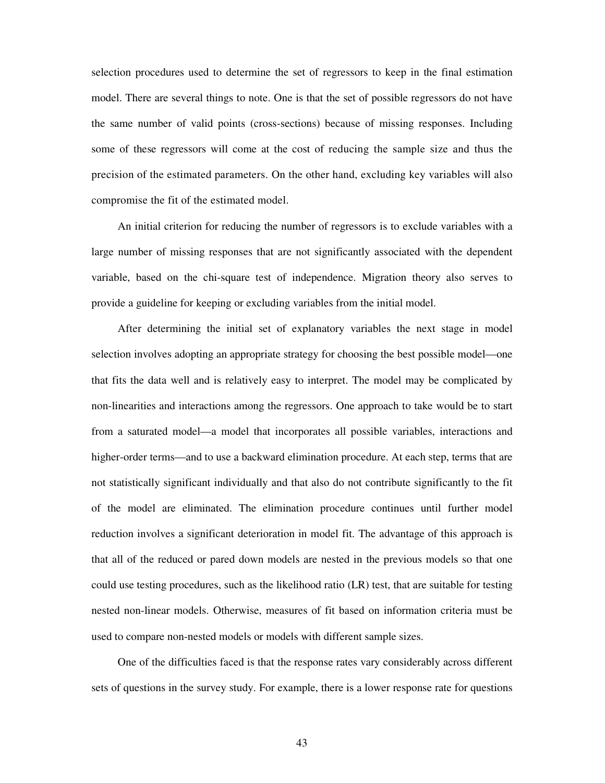selection procedures used to determine the set of regressors to keep in the final estimation model. There are several things to note. One is that the set of possible regressors do not have the same number of valid points (cross-sections) because of missing responses. Including some of these regressors will come at the cost of reducing the sample size and thus the precision of the estimated parameters. On the other hand, excluding key variables will also compromise the fit of the estimated model.

An initial criterion for reducing the number of regressors is to exclude variables with a large number of missing responses that are not significantly associated with the dependent variable, based on the chi-square test of independence. Migration theory also serves to provide a guideline for keeping or excluding variables from the initial model.

After determining the initial set of explanatory variables the next stage in model selection involves adopting an appropriate strategy for choosing the best possible model—one that fits the data well and is relatively easy to interpret. The model may be complicated by non-linearities and interactions among the regressors. One approach to take would be to start from a saturated model—a model that incorporates all possible variables, interactions and higher-order terms—and to use a backward elimination procedure. At each step, terms that are not statistically significant individually and that also do not contribute significantly to the fit of the model are eliminated. The elimination procedure continues until further model reduction involves a significant deterioration in model fit. The advantage of this approach is that all of the reduced or pared down models are nested in the previous models so that one could use testing procedures, such as the likelihood ratio (LR) test, that are suitable for testing nested non-linear models. Otherwise, measures of fit based on information criteria must be used to compare non-nested models or models with different sample sizes.

One of the difficulties faced is that the response rates vary considerably across different sets of questions in the survey study. For example, there is a lower response rate for questions